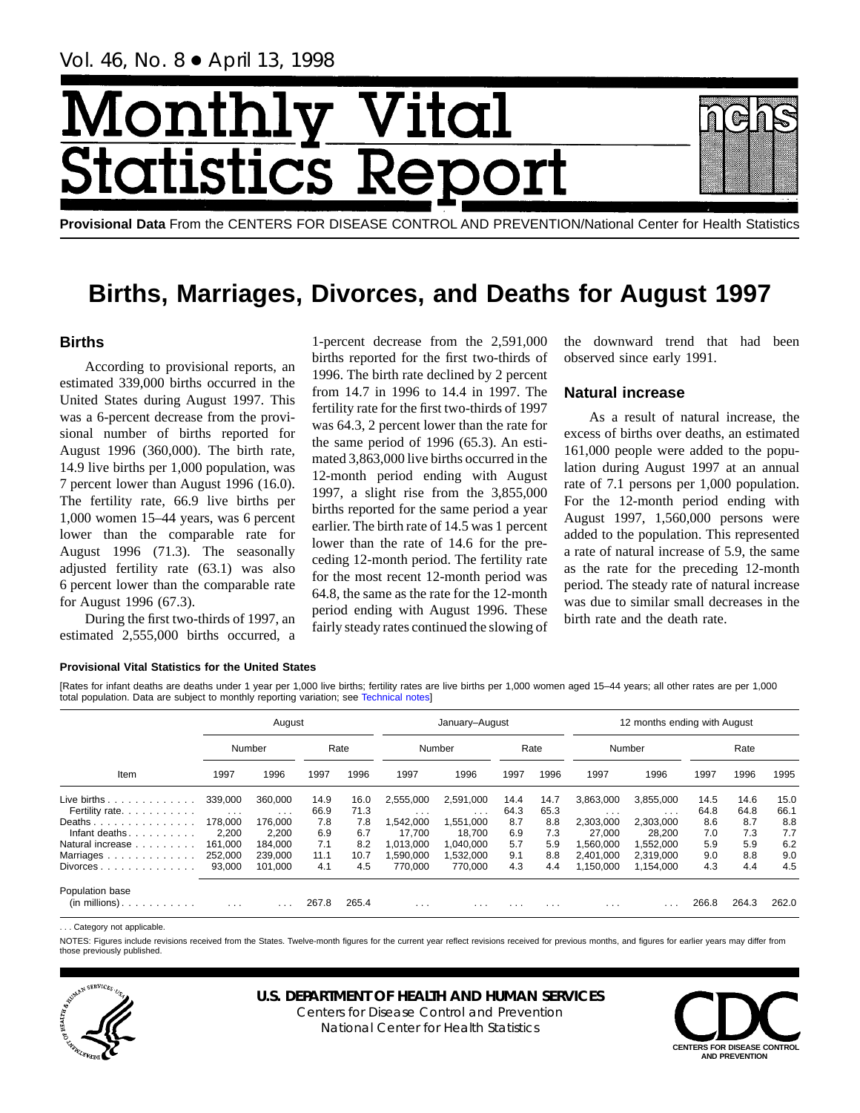Vol. 46, No. 8 ● April 13, 1998

# Monthl <u>y Vital</u> tics Re **itatist**

**Provisional Data** From the CENTERS FOR DISEASE CONTROL AND PREVENTION/National Center for Health Statistics

## **Births, Marriages, Divorces, and Deaths for August 1997**

## **Births**

According to provisional reports, an estimated 339,000 births occurred in the United States during August 1997. This was a 6-percent decrease from the provisional number of births reported for August 1996 (360,000). The birth rate, 14.9 live births per 1,000 population, was 7 percent lower than August 1996 (16.0). The fertility rate, 66.9 live births per 1,000 women 15–44 years, was 6 percent lower than the comparable rate for August 1996 (71.3). The seasonally adjusted fertility rate (63.1) was also 6 percent lower than the comparable rate for August 1996 (67.3).

During the first two-thirds of 1997, an estimated 2,555,000 births occurred, a

1-percent decrease from the 2,591,000 births reported for the first two-thirds of 1996. The birth rate declined by 2 percent from 14.7 in 1996 to 14.4 in 1997. The fertility rate for the first two-thirds of 1997 was 64.3, 2 percent lower than the rate for the same period of 1996 (65.3). An estimated 3,863,000 live births occurred in the 12-month period ending with August 1997, a slight rise from the 3,855,000 births reported for the same period a year earlier. The birth rate of 14.5 was 1 percent lower than the rate of 14.6 for the preceding 12-month period. The fertility rate for the most recent 12-month period was 64.8, the same as the rate for the 12-month period ending with August 1996. These fairly steady rates continued the slowing of the downward trend that had been observed since early 1991.

## **Natural increase**

As a result of natural increase, the excess of births over deaths, an estimated 161,000 people were added to the population during August 1997 at an annual rate of 7.1 persons per 1,000 population. For the 12-month period ending with August 1997, 1,560,000 persons were added to the population. This represented a rate of natural increase of 5.9, the same as the rate for the preceding 12-month period. The steady rate of natural increase was due to similar small decreases in the birth rate and the death rate.

#### **Provisional Vital Statistics for the United States**

[Rates for infant deaths are deaths under 1 year per 1,000 live births; fertility rates are live births per 1,000 women aged 15–44 years; all other rates are per 1,000 total population. Data are subject to monthly reporting variation; see [Technical notes\]](#page-16-0)

|                                              |          | August                  |       |       |           | January-August          |          |          |           | 12 months ending with August |       |       |       |
|----------------------------------------------|----------|-------------------------|-------|-------|-----------|-------------------------|----------|----------|-----------|------------------------------|-------|-------|-------|
|                                              |          | Number                  |       | Rate  |           | Number                  |          | Rate     |           | Number                       |       | Rate  |       |
| Item                                         | 1997     | 1996                    | 1997  | 1996  | 1997      | 1996                    | 1997     | 1996     | 1997      | 1996                         | 1997  | 1996  | 1995  |
| Live births $\ldots$                         | 339,000  | 360.000                 | 14.9  | 16.0  | 2,555,000 | 2,591,000               | 14.4     | 14.7     | 3,863,000 | 3,855,000                    | 14.5  | 14.6  | 15.0  |
| Fertility rate.                              | $\cdots$ | $\cdot$ $\cdot$ $\cdot$ | 66.9  | 71.3  | $\cdots$  | $\cdots$                | 64.3     | 65.3     | .         | .                            | 64.8  | 64.8  | 66.1  |
| Deaths                                       | 178.000  | 176.000                 | 7.8   | 7.8   | ,542,000  | 1,551,000               | 8.7      | 8.8      | 2,303,000 | 2,303,000                    | 8.6   | 8.7   | 8.8   |
| Infant deaths.<br>the service of the service | 2,200    | 2,200                   | 6.9   | 6.7   | 17.700    | 18.700                  | 6.9      | 7.3      | 27,000    | 28,200                       | 7.0   | 7.3   | 7.7   |
| Natural increase                             | 161.000  | 184.000                 | 7.1   | 8.2   | 013,000   | 1,040,000               | 5.7      | 5.9      | .560.000  | 1,552,000                    | 5.9   | 5.9   | 6.2   |
| Marriages                                    | 252,000  | 239,000                 | 11.1  | 10.7  | ,590,000  | 1,532,000               | 9.1      | 8.8      | 2,401,000 | 2,319,000                    | 9.0   | 8.8   | 9.0   |
| $Divorces \ldots \ldots \ldots \ldots$       | 93,000   | 101.000                 | 4.1   | 4.5   | 770.000   | 770,000                 | 4.3      | 4.4      | 1,150,000 | 1.154.000                    | 4.3   | 4.4   | 4.5   |
| Population base<br>$(in$ millions $)$        | $\cdots$ | $\cdots$                | 267.8 | 265.4 | $\cdots$  | $\cdot$ $\cdot$ $\cdot$ | $\cdots$ | $\cdots$ | $\cdots$  |                              | 266.8 | 264.3 | 262.0 |

... Category not applicable

NOTES: Figures include revisions received from the States. Twelve-month figures for the current year reflect revisions received for previous months, and figures for earlier years may differ from those previously published.



## **U.S. DEPARTMENT OF HEALTH AND HUMAN SERVICES**

Centers for Disease Control and Prevention National Center for Health Statistics

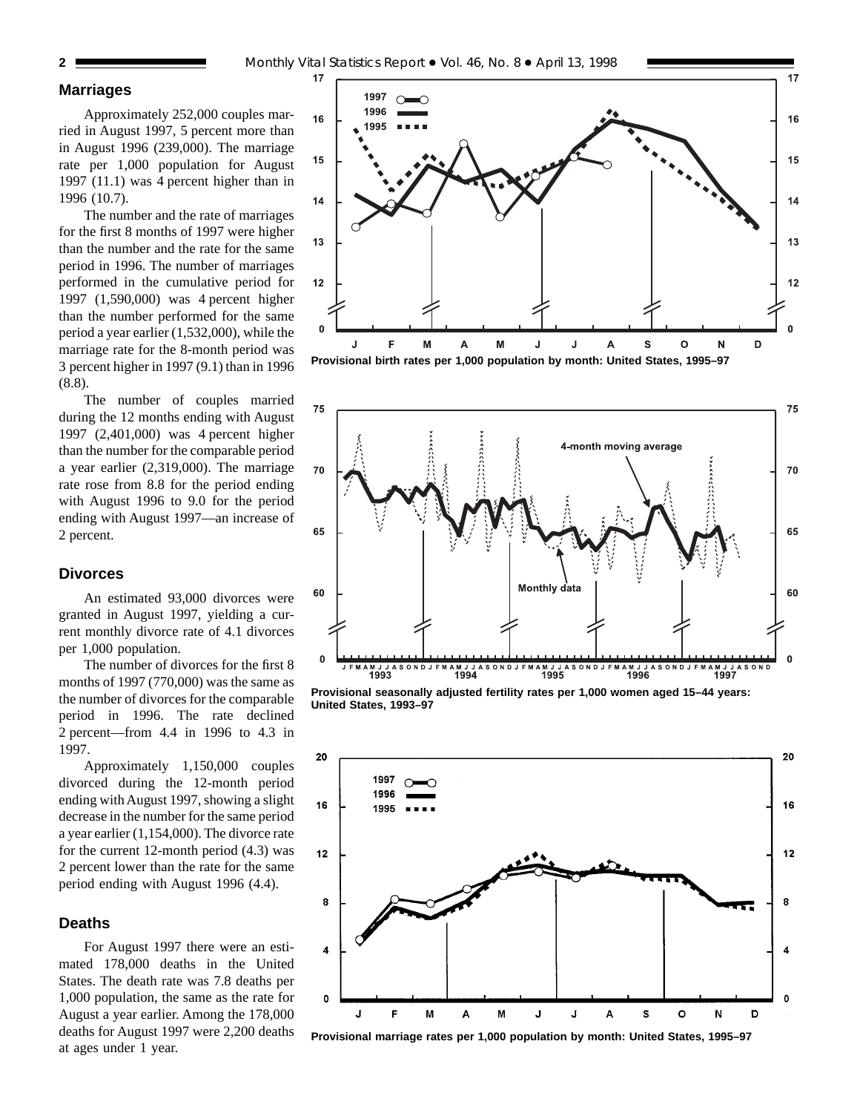#### **Marriages**

Approximately 252,000 couples married in August 1997, 5 percent more than in August 1996 (239,000). The marriage rate per 1,000 population for August 1997 (11.1) was 4 percent higher than in 1996 (10.7).

The number and the rate of marriages for the first 8 months of 1997 were higher than the number and the rate for the same period in 1996. The number of marriages performed in the cumulative period for 1997 (1,590,000) was 4 percent higher than the number performed for the same period a year earlier (1,532,000), while the marriage rate for the 8-month period was 3 percent higher in 1997 (9.1) than in 1996 (8.8).

The number of couples married during the 12 months ending with August 1997 (2,401,000) was 4 percent higher than the number for the comparable period a year earlier (2,319,000). The marriage rate rose from 8.8 for the period ending with August 1996 to 9.0 for the period ending with August 1997—an increase of 2 percent.

## **Divorces**

An estimated 93,000 divorces were granted in August 1997, yielding a current monthly divorce rate of 4.1 divorces per 1,000 population.

The number of divorces for the first 8 months of 1997 (770,000) was the same as the number of divorces for the comparable period in 1996. The rate declined 2 percent—from 4.4 in 1996 to 4.3 in 1997.

Approximately 1,150,000 couples divorced during the 12-month period ending with August 1997, showing a slight decrease in the number for the same period a year earlier (1,154,000). The divorce rate for the current 12-month period (4.3) was 2 percent lower than the rate for the same period ending with August 1996 (4.4).

#### **Deaths**

For August 1997 there were an estimated 178,000 deaths in the United States. The death rate was 7.8 deaths per 1,000 population, the same as the rate for August a year earlier. Among the 178,000 deaths for August 1997 were 2,200 deaths at ages under 1 year.



**Provisional birth rates per 1,000 population by month: United States, 1995–97**



**Provisional seasonally adjusted fertility rates per 1,000 women aged 15–44 years: United States, 1993–97**



**Provisional marriage rates per 1,000 population by month: United States, 1995–97**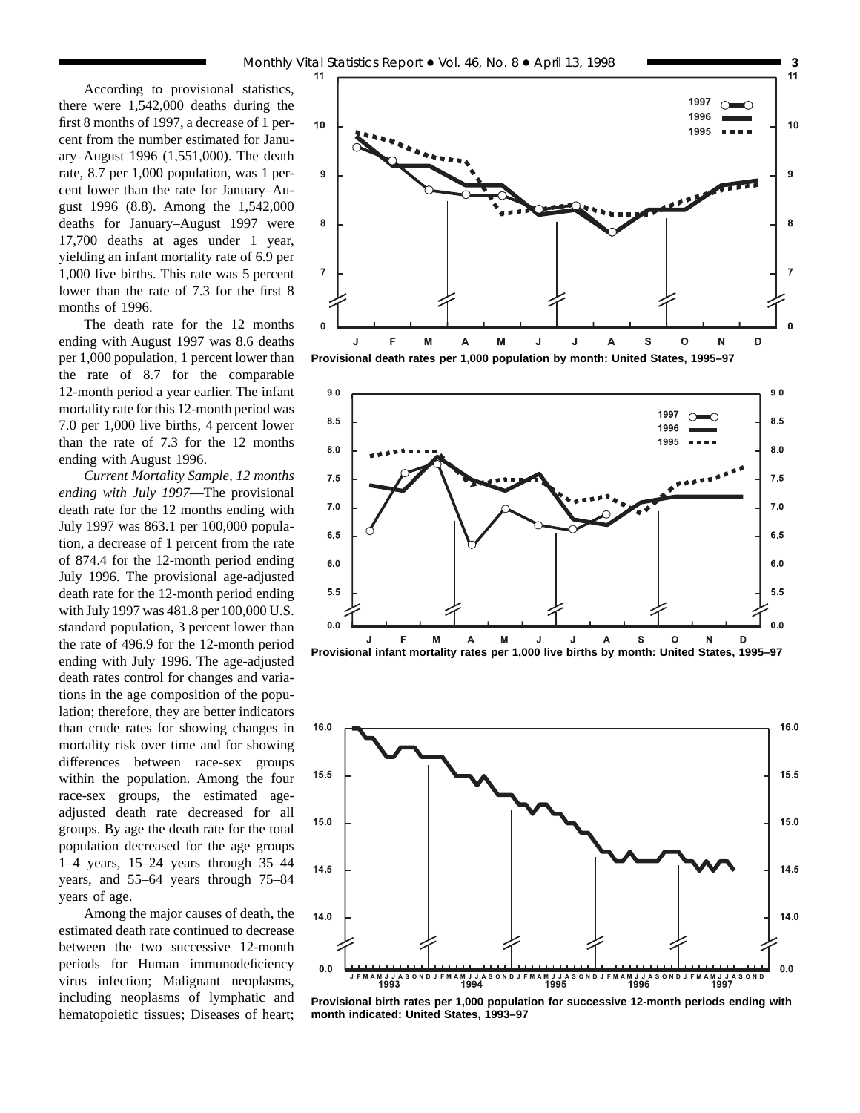According to provisional statistics, there were 1,542,000 deaths during the first 8 months of 1997, a decrease of 1 percent from the number estimated for January–August 1996 (1,551,000). The death rate, 8.7 per 1,000 population, was 1 percent lower than the rate for January–August 1996 (8.8). Among the 1,542,000 deaths for January–August 1997 were 17,700 deaths at ages under 1 year, yielding an infant mortality rate of 6.9 per 1,000 live births. This rate was 5 percent lower than the rate of 7.3 for the first 8 months of 1996.

The death rate for the 12 months ending with August 1997 was 8.6 deaths per 1,000 population, 1 percent lower than the rate of 8.7 for the comparable 12-month period a year earlier. The infant mortality rate for this 12-month period was 7.0 per 1,000 live births, 4 percent lower than the rate of 7.3 for the 12 months ending with August 1996.

*Current Mortality Sample, 12 months ending with July 1997*—The provisional death rate for the 12 months ending with July 1997 was 863.1 per 100,000 population, a decrease of 1 percent from the rate of 874.4 for the 12-month period ending July 1996. The provisional age-adjusted death rate for the 12-month period ending with July 1997 was 481.8 per 100,000 U.S. standard population, 3 percent lower than the rate of 496.9 for the 12-month period ending with July 1996. The age-adjusted death rates control for changes and variations in the age composition of the population; therefore, they are better indicators than crude rates for showing changes in mortality risk over time and for showing differences between race-sex groups within the population. Among the four race-sex groups, the estimated ageadjusted death rate decreased for all groups. By age the death rate for the total population decreased for the age groups 1–4 years, 15–24 years through 35–44 years, and 55–64 years through 75–84 years of age.

Among the major causes of death, the estimated death rate continued to decrease between the two successive 12-month periods for Human immunodeficiency virus infection; Malignant neoplasms, including neoplasms of lymphatic and hematopoietic tissues; Diseases of heart;



**Provisional death rates per 1,000 population by month: United States, 1995–97**







**Provisional birth rates per 1,000 population for successive 12-month periods ending with month indicated: United States, 1993–97**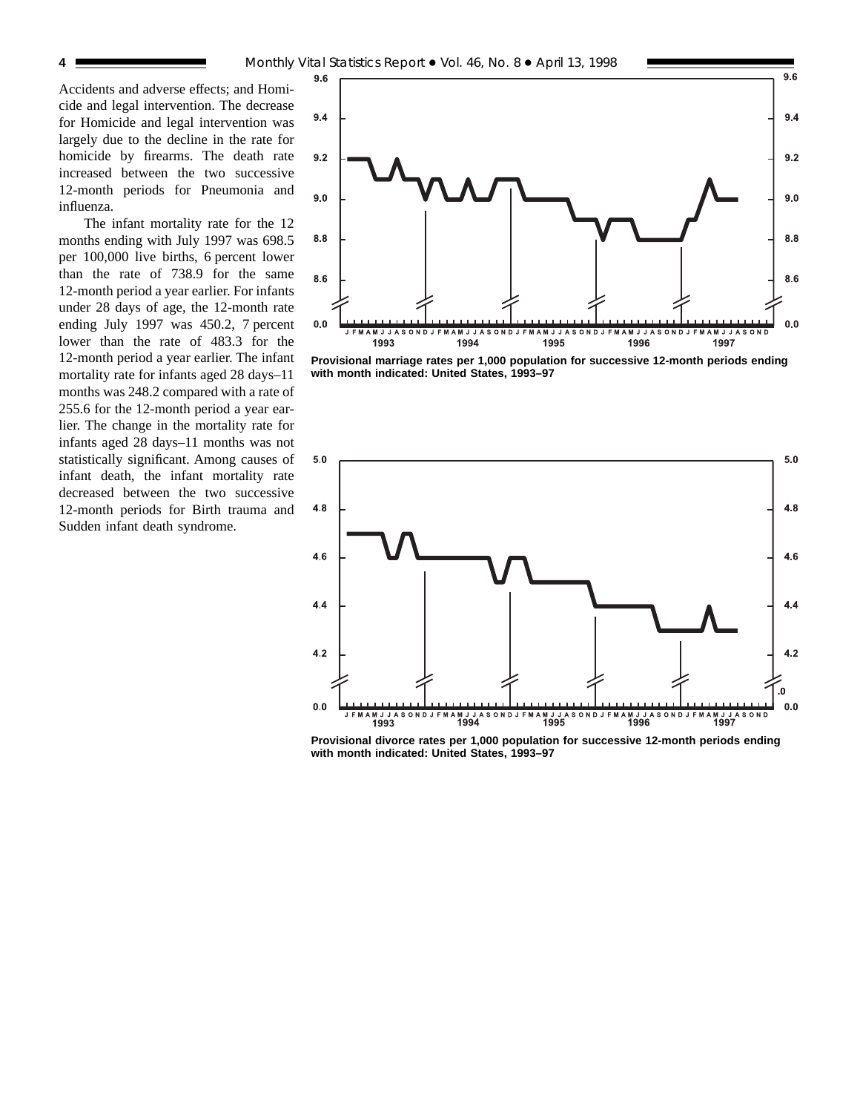Accidents and adverse effects; and Homicide and legal intervention. The decrease for Homicide and legal intervention was largely due to the decline in the rate for homicide by firearms. The death rate increased between the two successive 12-month periods for Pneumonia and influenza.

The infant mortality rate for the 12 months ending with July 1997 was 698.5 per 100,000 live births, 6 percent lower than the rate of 738.9 for the same 12-month period a year earlier. For infants under 28 days of age, the 12-month rate ending July 1997 was 450.2, 7 percent lower than the rate of 483.3 for the 12-month period a year earlier. The infant mortality rate for infants aged 28 days–11 months was 248.2 compared with a rate of 255.6 for the 12-month period a year earlier. The change in the mortality rate for infants aged 28 days–11 months was not statistically significant. Among causes of infant death, the infant mortality rate decreased between the two successive 12-month periods for Birth trauma and Sudden infant death syndrome.



**Provisional marriage rates per 1,000 population for successive 12-month periods ending with month indicated: United States, 1993–97**



**Provisional divorce rates per 1,000 population for successive 12-month periods ending with month indicated: United States, 1993–97**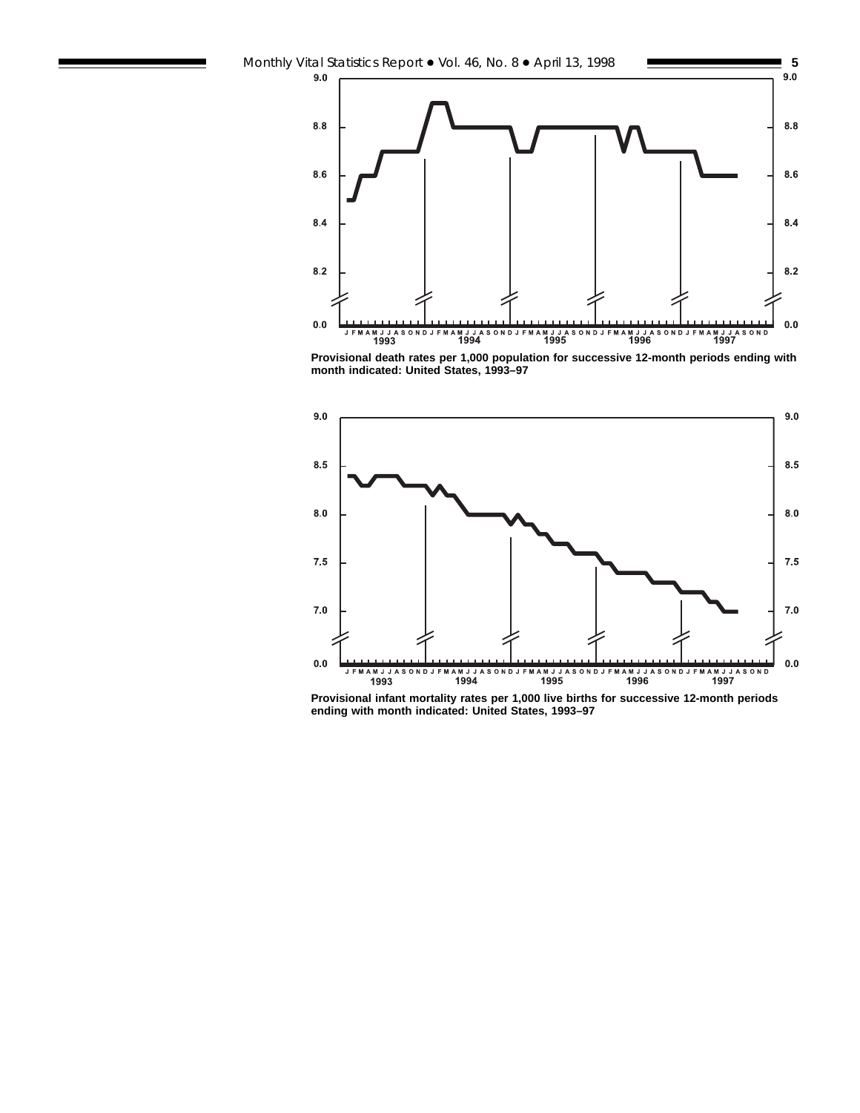

**Provisional death rates per 1,000 population for successive 12-month periods ending with month indicated: United States, 1993–97**



**Provisional infant mortality rates per 1,000 live births for successive 12-month periods ending with month indicated: United States, 1993–97**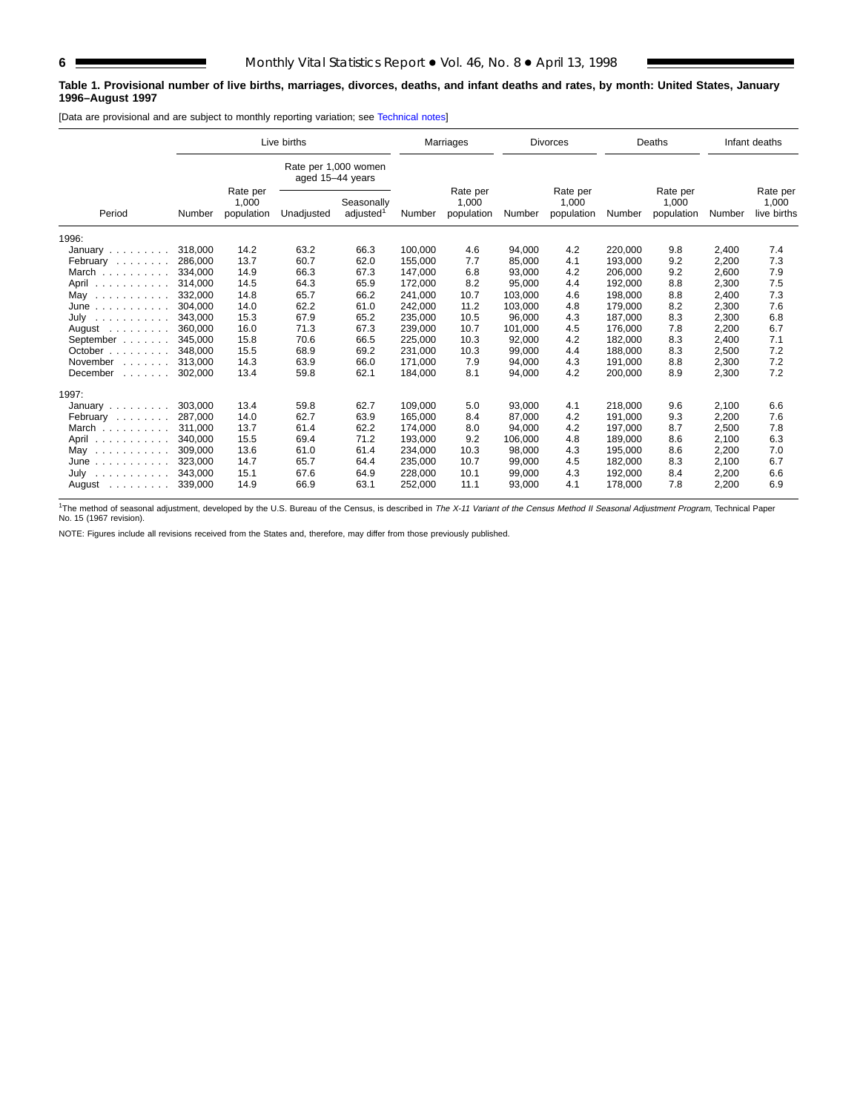#### **Table 1. Provisional number of live births, marriages, divorces, deaths, and infant deaths and rates, by month: United States, January 1996–August 1997**

[Data are provisional and are subject to monthly reporting variation; see [Technical notes\]](#page-16-0)

|                                                                   |         |                                 | Live births                              |                                     | Marriages |                                 |         | <b>Divorces</b>                 |         | Deaths                          |        | Infant deaths                    |
|-------------------------------------------------------------------|---------|---------------------------------|------------------------------------------|-------------------------------------|-----------|---------------------------------|---------|---------------------------------|---------|---------------------------------|--------|----------------------------------|
|                                                                   |         |                                 | Rate per 1,000 women<br>aged 15-44 years |                                     |           |                                 |         |                                 |         |                                 |        |                                  |
| Period                                                            | Number  | Rate per<br>1,000<br>population | Unadjusted                               | Seasonally<br>adjusted <sup>1</sup> | Number    | Rate per<br>1,000<br>population | Number  | Rate per<br>1,000<br>population | Number  | Rate per<br>1,000<br>population | Number | Rate per<br>1,000<br>live births |
| 1996:                                                             |         |                                 |                                          |                                     |           |                                 |         |                                 |         |                                 |        |                                  |
| January                                                           | 318,000 | 14.2                            | 63.2                                     | 66.3                                | 100.000   | 4.6                             | 94,000  | 4.2                             | 220,000 | 9.8                             | 2,400  | 7.4                              |
| February                                                          | 286.000 | 13.7                            | 60.7                                     | 62.0                                | 155,000   | 7.7                             | 85,000  | 4.1                             | 193.000 | 9.2                             | 2,200  | 7.3                              |
| March $\overline{a}$                                              | 334.000 | 14.9                            | 66.3                                     | 67.3                                | 147.000   | 6.8                             | 93.000  | 4.2                             | 206.000 | 9.2                             | 2.600  | 7.9                              |
| April                                                             | 314.000 | 14.5                            | 64.3                                     | 65.9                                | 172,000   | 8.2                             | 95,000  | 4.4                             | 192,000 | 8.8                             | 2,300  | 7.5                              |
| May<br>.                                                          | 332,000 | 14.8                            | 65.7                                     | 66.2                                | 241,000   | 10.7                            | 103,000 | 4.6                             | 198,000 | 8.8                             | 2,400  | 7.3                              |
| June<br>a dia dia dia dia dia                                     | 304.000 | 14.0                            | 62.2                                     | 61.0                                | 242,000   | 11.2                            | 103,000 | 4.8                             | 179,000 | 8.2                             | 2,300  | 7.6                              |
| July<br>.                                                         | 343.000 | 15.3                            | 67.9                                     | 65.2                                | 235,000   | 10.5                            | 96,000  | 4.3                             | 187,000 | 8.3                             | 2,300  | 6.8                              |
| August<br>and a state of the                                      | 360,000 | 16.0                            | 71.3                                     | 67.3                                | 239,000   | 10.7                            | 101,000 | 4.5                             | 176,000 | 7.8                             | 2,200  | 6.7                              |
| September                                                         | 345,000 | 15.8                            | 70.6                                     | 66.5                                | 225,000   | 10.3                            | 92,000  | 4.2                             | 182,000 | 8.3                             | 2,400  | 7.1                              |
| October $\ldots$ , $\ldots$                                       | 348,000 | 15.5                            | 68.9                                     | 69.2                                | 231.000   | 10.3                            | 99,000  | 4.4                             | 188.000 | 8.3                             | 2,500  | 7.2                              |
| November<br>and a state of                                        | 313.000 | 14.3                            | 63.9                                     | 66.0                                | 171,000   | 7.9                             | 94,000  | 4.3                             | 191,000 | 8.8                             | 2,300  | 7.2                              |
| December<br>$\mathbb{Z}^2$ . The set of the set of $\mathbb{Z}^2$ | 302.000 | 13.4                            | 59.8                                     | 62.1                                | 184.000   | 8.1                             | 94,000  | 4.2                             | 200,000 | 8.9                             | 2,300  | 7.2                              |
| 1997:                                                             |         |                                 |                                          |                                     |           |                                 |         |                                 |         |                                 |        |                                  |
| January $\ldots$ , $\ldots$                                       | 303.000 | 13.4                            | 59.8                                     | 62.7                                | 109.000   | 5.0                             | 93,000  | 4.1                             | 218.000 | 9.6                             | 2,100  | 6.6                              |
| February                                                          | 287,000 | 14.0                            | 62.7                                     | 63.9                                | 165,000   | 8.4                             | 87,000  | 4.2                             | 191,000 | 9.3                             | 2,200  | 7.6                              |
| March                                                             | 311.000 | 13.7                            | 61.4                                     | 62.2                                | 174.000   | 8.0                             | 94.000  | 4.2                             | 197.000 | 8.7                             | 2,500  | 7.8                              |
| April                                                             | 340.000 | 15.5                            | 69.4                                     | 71.2                                | 193.000   | 9.2                             | 106.000 | 4.8                             | 189.000 | 8.6                             | 2,100  | 6.3                              |
| May<br>.                                                          | 309,000 | 13.6                            | 61.0                                     | 61.4                                | 234,000   | 10.3                            | 98,000  | 4.3                             | 195,000 | 8.6                             | 2,200  | 7.0                              |
| June<br>.                                                         | 323.000 | 14.7                            | 65.7                                     | 64.4                                | 235,000   | 10.7                            | 99,000  | 4.5                             | 182.000 | 8.3                             | 2,100  | 6.7                              |
| July<br>.                                                         | 343,000 | 15.1                            | 67.6                                     | 64.9                                | 228,000   | 10.1                            | 99,000  | 4.3                             | 192,000 | 8.4                             | 2,200  | 6.6                              |
| August                                                            | 339,000 | 14.9                            | 66.9                                     | 63.1                                | 252,000   | 11.1                            | 93,000  | 4.1                             | 178,000 | 7.8                             | 2,200  | 6.9                              |

<sup>1</sup>The method of seasonal adjustment, developed by the U.S. Bureau of the Census, is described in The X-11 Variant of the Census Method II Seasonal Adjustment Program, Technical Paper No. 15 (1967 revision).

NOTE: Figures include all revisions received from the States and, therefore, may differ from those previously published.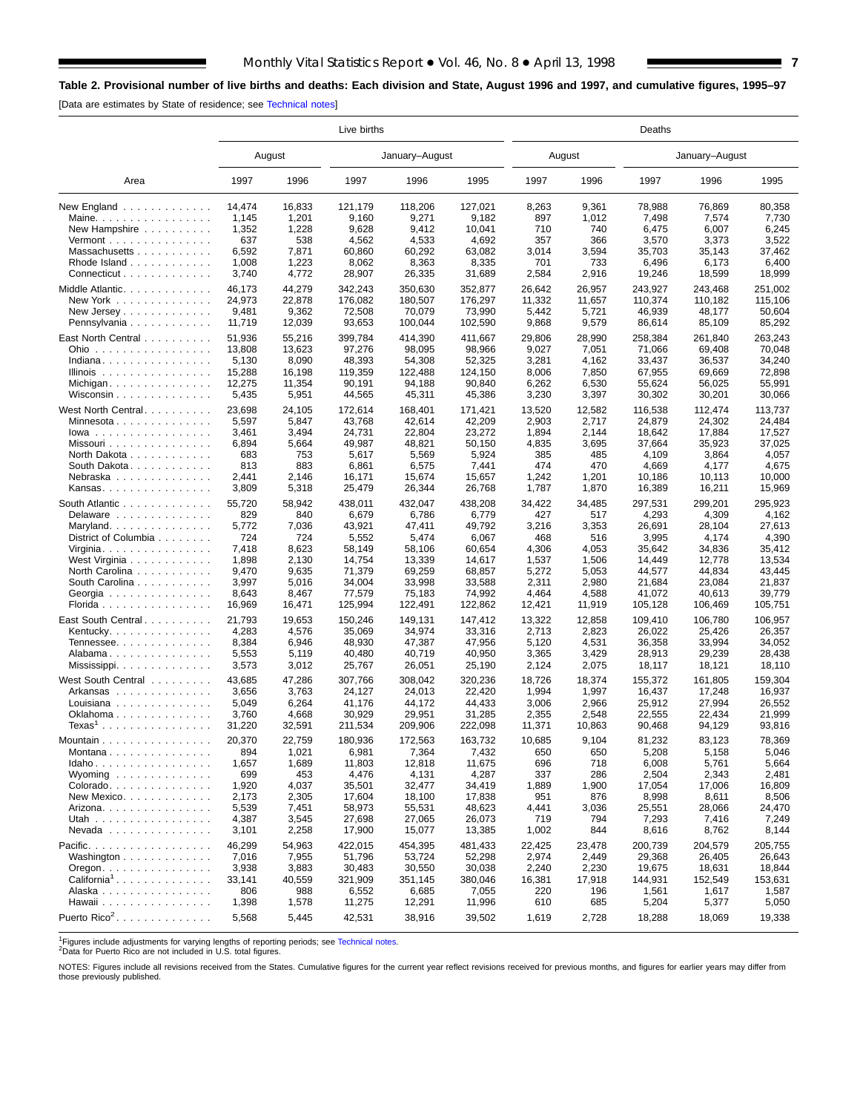## <span id="page-6-0"></span>**Table 2. Provisional number of live births and deaths: Each division and State, August 1996 and 1997, and cumulative figures, 1995–97**

[Data are estimates by State of residence; see [Technical notes\]](#page-16-0)

|                                             | Live births     |                 |                  |                  |                  |              | Deaths         |                 |                 |                 |  |  |  |  |
|---------------------------------------------|-----------------|-----------------|------------------|------------------|------------------|--------------|----------------|-----------------|-----------------|-----------------|--|--|--|--|
|                                             |                 | August          |                  | January-August   |                  |              | August         |                 | January-August  |                 |  |  |  |  |
| Area                                        | 1997            | 1996            | 1997             | 1996             | 1995             | 1997         | 1996           | 1997            | 1996            | 1995            |  |  |  |  |
| New England<br>Maine. $\ldots$              | 14,474<br>1,145 | 16,833<br>1,201 | 121,179<br>9,160 | 118,206<br>9,271 | 127,021<br>9,182 | 8,263<br>897 | 9,361<br>1,012 | 78,988<br>7,498 | 76,869<br>7,574 | 80,358<br>7,730 |  |  |  |  |
| New Hampshire                               | 1,352           | 1,228           | 9,628            | 9,412            | 10,041           | 710          | 740            | 6,475           | 6,007           | 6,245           |  |  |  |  |
| Vermont $\dots\dots\dots\dots\dots\dots$    | 637             | 538             | 4,562            | 4,533            | 4,692            | 357          | 366            | 3,570           | 3,373           | 3,522           |  |  |  |  |
| Massachusetts                               | 6,592           | 7,871           | 60,860           | 60,292           | 63,082           | 3,014        | 3,594          | 35,703          | 35,143          | 37,462          |  |  |  |  |
| Rhode Island                                | 1,008           | 1,223           | 8,062            | 8,363            | 8,335            | 701          | 733            | 6,496           | 6,173           | 6,400           |  |  |  |  |
| Connecticut                                 | 3,740           | 4,772           | 28,907           | 26,335           | 31,689           | 2,584        | 2,916          | 19,246          | 18,599          | 18,999          |  |  |  |  |
|                                             |                 |                 |                  |                  |                  |              |                |                 |                 |                 |  |  |  |  |
| Middle Atlantic.                            | 46,173          | 44,279          | 342,243          | 350,630          | 352.877          | 26,642       | 26,957         | 243,927         | 243,468         | 251,002         |  |  |  |  |
| New York                                    | 24,973          | 22,878          | 176,082          | 180.507          | 176,297          | 11,332       | 11,657         | 110,374         | 110,182         | 115.106         |  |  |  |  |
| New Jersey $\dots$ , $\dots$ , $\dots$ ,    | 9,481           | 9,362           | 72,508           | 70.079           | 73,990           | 5,442        | 5,721          | 46,939          | 48.177          | 50,604          |  |  |  |  |
| Pennsylvania                                | 11,719          | 12,039          | 93,653           | 100,044          | 102,590          | 9,868        | 9,579          | 86,614          | 85,109          | 85,292          |  |  |  |  |
| East North Central                          | 51,936          | 55,216          | 399,784          | 414,390          | 411,667          | 29,806       | 28,990         | 258,384         | 261,840         | 263,243         |  |  |  |  |
| Ohio                                        | 13,808          | 13,623          | 97,276           | 98,095           | 98,966           | 9,027        | 7,051          | 71,066          | 69,408          | 70,048          |  |  |  |  |
| Indiana                                     | 5,130           | 8,090           | 48,393           | 54,308           | 52,325           | 3,281        | 4,162          | 33,437          | 36,537          | 34,240          |  |  |  |  |
| Illinois $\ldots \ldots \ldots \ldots$      | 15,288          | 16,198          | 119,359          | 122,488          | 124,150          | 8,006        | 7,850          | 67,955          | 69,669          | 72,898          |  |  |  |  |
| Michigan                                    | 12,275          | 11,354          | 90,191           | 94,188           | 90,840           | 6,262        | 6,530          | 55,624          | 56,025          | 55,991          |  |  |  |  |
| Wisconsin $\ldots$                          | 5,435           | 5,951           | 44,565           | 45,311           | 45,386           | 3,230        | 3,397          | 30,302          | 30,201          | 30,066          |  |  |  |  |
|                                             |                 |                 |                  |                  |                  |              |                |                 |                 |                 |  |  |  |  |
| West North Central.                         | 23,698          | 24,105          | 172,614          | 168,401          | 171,421          | 13,520       | 12,582         | 116,538         | 112,474         | 113,737         |  |  |  |  |
| Minnesota                                   | 5,597           | 5,847           | 43,768           | 42,614           | 42,209           | 2,903        | 2,717          | 24.879          | 24,302          | 24,484          |  |  |  |  |
| $lowa$                                      | 3,461           | 3,494           | 24,731           | 22,804           | 23,272           | 1,894        | 2,144          | 18,642          | 17,884          | 17,527          |  |  |  |  |
| Missouri                                    | 6,894           | 5,664           | 49,987           | 48,821           | 50,150           | 4,835        | 3,695          | 37,664          | 35,923          | 37,025          |  |  |  |  |
| North Dakota                                | 683             | 753             | 5,617            | 5,569            | 5,924            | 385          | 485            | 4,109           | 3,864           | 4,057           |  |  |  |  |
| South Dakota                                | 813             | 883             | 6,861            | 6,575            | 7,441            | 474          | 470            | 4,669           | 4,177           | 4,675           |  |  |  |  |
| Nebraska                                    | 2,441           | 2,146           | 16,171           | 15,674           | 15,657           | 1,242        | 1,201          | 10,186          | 10,113          | 10,000          |  |  |  |  |
| Kansas                                      | 3,809           | 5,318           | 25,479           | 26,344           | 26,768           | 1,787        | 1,870          | 16,389          | 16,211          | 15,969          |  |  |  |  |
| South Atlantic                              | 55,720          | 58,942          | 438,011          | 432,047          | 438.208          | 34,422       | 34,485         | 297,531         | 299,201         | 295,923         |  |  |  |  |
| Delaware                                    | 829             | 840             | 6,679            | 6,786            | 6,779            | 427          | 517            | 4,293           | 4,309           | 4,162           |  |  |  |  |
| Maryland.                                   | 5,772           | 7,036           | 43,921           | 47,411           | 49,792           | 3,216        | 3,353          | 26,691          | 28,104          | 27,613          |  |  |  |  |
| District of Columbia                        | 724             | 724             | 5,552            | 5,474            | 6,067            | 468          | 516            | 3,995           | 4,174           | 4,390           |  |  |  |  |
| Virginia                                    | 7,418           | 8,623           | 58,149           | 58,106           | 60,654           | 4,306        | 4,053          | 35,642          | 34,836          | 35,412          |  |  |  |  |
| West Virginia                               | 1,898           | 2,130           | 14,754           | 13,339           | 14,617           | 1,537        | 1,506          | 14,449          | 12,778          | 13,534          |  |  |  |  |
| North Carolina                              | 9,470           | 9,635           | 71,379           | 69,259           | 68,857           | 5,272        | 5,053          | 44,577          | 44,834          | 43,445          |  |  |  |  |
| South Carolina                              | 3,997           | 5,016           | 34,004           | 33,998           | 33,588           | 2,311        | 2,980          | 21,684          | 23,084          | 21,837          |  |  |  |  |
| Georgia                                     | 8,643           | 8,467           | 77,579           | 75,183           | 74,992           | 4,464        | 4,588          | 41,072          | 40,613          | 39,779          |  |  |  |  |
|                                             | 16,969          | 16,471          | 125,994          | 122,491          | 122,862          | 12,421       | 11,919         | 105,128         | 106,469         | 105,751         |  |  |  |  |
| Florida                                     |                 |                 |                  |                  |                  |              |                |                 |                 |                 |  |  |  |  |
| East South Central                          | 21,793          | 19,653          | 150,246          | 149,131          | 147,412          | 13,322       | 12,858         | 109,410         | 106,780         | 106,957         |  |  |  |  |
| Kentucky.                                   | 4,283           | 4,576           | 35,069           | 34,974           | 33,316           | 2,713        | 2,823          | 26,022          | 25,426          | 26,357          |  |  |  |  |
| Tennessee                                   | 8,384           | 6,946           | 48,930           | 47,387           | 47,956           | 5,120        | 4,531          | 36,358          | 33,994          | 34,052          |  |  |  |  |
| Alabama                                     | 5,553           | 5,119           | 40,480           | 40,719           | 40,950           | 3,365        | 3,429          | 28,913          | 29,239          | 28,438          |  |  |  |  |
| Mississippi                                 | 3,573           | 3,012           | 25,767           | 26,051           | 25,190           | 2,124        | 2,075          | 18,117          | 18,121          | 18,110          |  |  |  |  |
| West South Central                          | 43,685          | 47,286          | 307,766          | 308,042          | 320.236          | 18,726       | 18,374         | 155,372         | 161.805         | 159,304         |  |  |  |  |
| Arkansas                                    | 3,656           | 3,763           | 24.127           | 24,013           | 22,420           | 1,994        | 1,997          | 16,437          | 17,248          | 16,937          |  |  |  |  |
| Louisiana $\ldots \ldots \ldots \ldots$     | 5,049           | 6,264           | 41,176           | 44,172           | 44,433           | 3,006        | 2,966          | 25,912          | 27,994          | 26,552          |  |  |  |  |
| Oklahoma                                    | 3,760           | 4,668           | 30,929           | 29,951           | 31,285           | 2,355        | 2,548          | 22,555          | 22,434          | 21,999          |  |  |  |  |
| $Texas1$                                    | 31,220          | 32,591          | 211,534          | 209,906          | 222,098          | 11,371       | 10,863         | 90,468          | 94,129          | 93,816          |  |  |  |  |
| Mountain                                    | 20.370          | 22,759          | 180,936          | 172,563          | 163,732          | 10.685       | 9.104          | 81,232          | 83,123          | 78,369          |  |  |  |  |
|                                             |                 |                 |                  |                  |                  |              |                |                 |                 |                 |  |  |  |  |
| Montana                                     | 894             | 1,021           | 6,981            | 7,364            | 7,432            | 650          | 650            | 5,208           | 5,158           | 5,046           |  |  |  |  |
| Idaho                                       | 1,657           | 1,689           | 11,803           | 12,818           | 11,675           | 696          | 718            | 6,008           | 5,761           | 5,664           |  |  |  |  |
| Wyoming $\ldots \ldots \ldots \ldots$       | 699             | 453             | 4,476            | 4,131            | 4,287            | 337          | 286            | 2,504           | 2,343           | 2,481           |  |  |  |  |
| Colorado                                    | 1,920           | 4,037           | 35,501           | 32,477           | 34,419           | 1,889        | 1,900          | 17,054          | 17,006          | 16,809          |  |  |  |  |
| New Mexico                                  | 2,173           | 2,305           | 17,604           | 18,100           | 17,838           | 951          | 876            | 8,998           | 8,611           | 8,506           |  |  |  |  |
| Arizona.                                    | 5,539           | 7,451           | 58,973           | 55,531           | 48,623           | 4,441        | 3,036          | 25,551          | 28,066          | 24,470          |  |  |  |  |
| Utah                                        | 4,387           | 3,545           | 27,698           | 27,065           | 26,073           | 719          | 794            | 7,293           | 7,416           | 7,249           |  |  |  |  |
| Nevada                                      | 3,101           | 2,258           | 17,900           | 15,077           | 13,385           | 1,002        | 844            | 8,616           | 8,762           | 8,144           |  |  |  |  |
| Pacific.                                    | 46,299          | 54,963          | 422,015          | 454,395          | 481,433          | 22,425       | 23,478         | 200,739         | 204,579         | 205,755         |  |  |  |  |
| Washington                                  | 7,016           | 7,955           | 51,796           | 53,724           | 52,298           | 2,974        | 2,449          | 29,368          | 26,405          | 26,643          |  |  |  |  |
| $O$ regon. $\ldots$ . $\ldots$ . $\ldots$ . | 3,938           | 3,883           | 30,483           | 30,550           | 30,038           | 2,240        | 2,230          | 19,675          | 18,631          | 18,844          |  |  |  |  |
| California <sup>1</sup>                     | 33,141          | 40,559          | 321,909          | 351,145          | 380,046          | 16,381       | 17,918         | 144,931         | 152,549         | 153,631         |  |  |  |  |
| Alaska                                      | 806             | 988             | 6,552            | 6,685            | 7,055            | 220          | 196            | 1,561           | 1,617           | 1,587           |  |  |  |  |
| Hawaii                                      | 1,398           | 1,578           | 11,275           | 12,291           | 11,996           | 610          | 685            | 5,204           | 5,377           | 5,050           |  |  |  |  |
| Puerto Rico <sup>2</sup> .                  | 5,568           | 5,445           | 42,531           | 38,916           | 39,502           | 1,619        | 2,728          | 18,288          | 18,069          | 19,338          |  |  |  |  |
|                                             |                 |                 |                  |                  |                  |              |                |                 |                 |                 |  |  |  |  |

1Figures include adjustments for varying lengths of reporting periods; see [Technical notes.](#page-16-0) 2Data for Puerto Rico are not included in U.S. total figures.

NOTES: Figures include all revisions received from the States. Cumulative figures for the current year reflect revisions received for previous months, and figures for earlier years may differ from those previously published.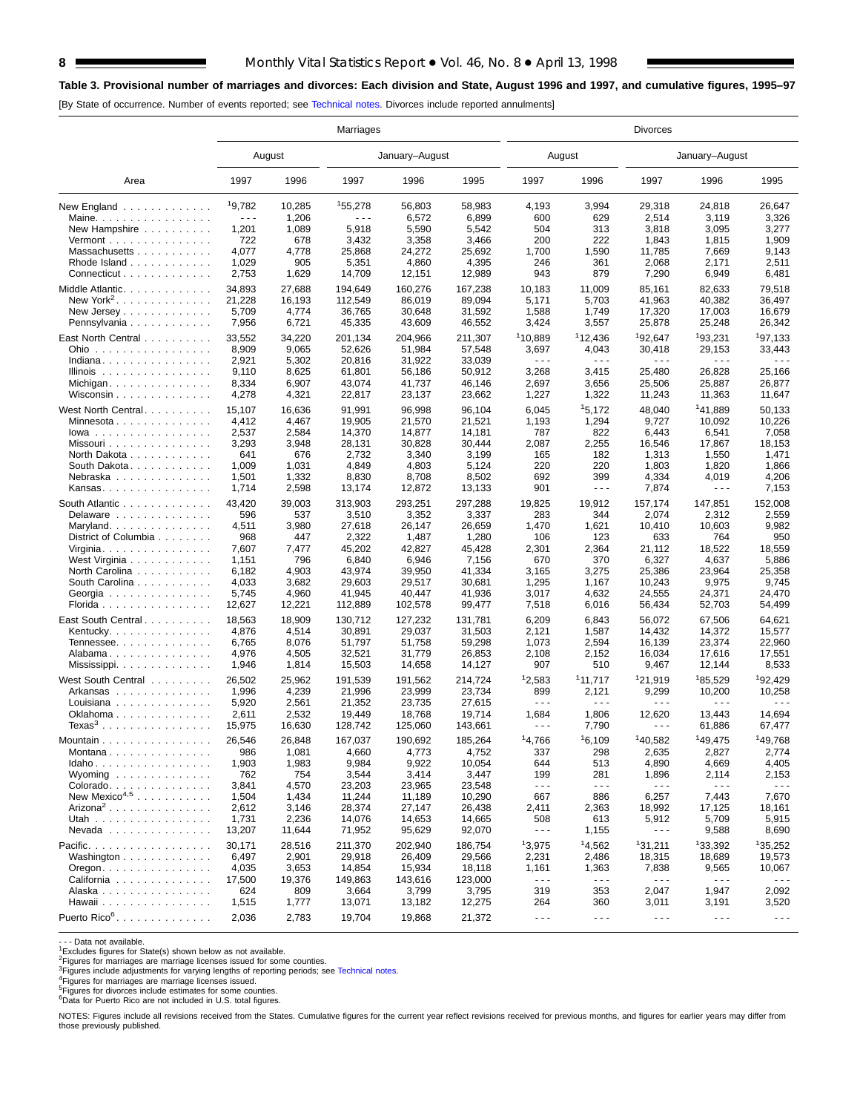## **8** Monthly Vital Statistics Report • Vol. 46, No. 8 • April 13, 1998

#### **Table 3. Provisional number of marriages and divorces: Each division and State, August 1996 and 1997, and cumulative figures, 1995–97**

[By State of occurrence. Number of events reported; see [Technical notes. D](#page-16-0)ivorces include reported annulments]

|                                             | Marriages |        |                      |                  |         | <b>Divorces</b>             |                      |                               |                                |                      |  |  |
|---------------------------------------------|-----------|--------|----------------------|------------------|---------|-----------------------------|----------------------|-------------------------------|--------------------------------|----------------------|--|--|
|                                             |           | August |                      | January-August   |         |                             | August               |                               | January-August                 |                      |  |  |
| Area                                        | 1997      | 1996   | 1997                 | 1996             | 1995    | 1997                        | 1996                 | 1997                          | 1996                           | 1995                 |  |  |
| New England                                 | 19,782    | 10,285 | 155,278              | 56,803           | 58,983  | 4,193                       | 3,994                | 29,318                        | 24,818                         | 26,647               |  |  |
| Maine. $\ldots$                             | .         | 1,206  | $\sim$ $\sim$ $\sim$ | 6,572            | 6,899   | 600                         | 629                  | 2,514                         | 3,119                          | 3,326                |  |  |
| New Hampshire                               | 1,201     | 1,089  | 5,918                | 5,590            | 5,542   | 504                         | 313                  | 3,818                         | 3,095                          | 3,277                |  |  |
| Vermont                                     | 722       | 678    | 3,432                | 3,358            | 3,466   | 200                         | 222                  | 1,843                         | 1,815                          | 1,909                |  |  |
| Massachusetts                               | 4,077     | 4,778  | 25,868               | 24,272           | 25,692  | 1,700                       | 1,590                | 11,785                        | 7,669                          | 9,143                |  |  |
| Rhode Island                                | 1,029     | 905    | 5,351                | 4,860            | 4,395   | 246                         | 361                  | 2,068                         | 2,171                          | 2,511                |  |  |
| Connecticut                                 | 2,753     | 1,629  | 14,709               | 12,151           | 12,989  | 943                         | 879                  | 7,290                         | 6,949                          | 6,481                |  |  |
| Middle Atlantic.                            | 34,893    | 27,688 | 194,649              | 160,276          | 167,238 | 10,183                      | 11,009               | 85,161                        | 82,633                         | 79,518               |  |  |
| New York <sup>2</sup> .                     | 21,228    | 16,193 | 112,549              | 86,019           | 89,094  | 5,171                       | 5,703                | 41,963                        | 40,382                         | 36,497               |  |  |
| New Jersey                                  | 5,709     | 4,774  | 36,765               | 30,648           | 31,592  | 1,588                       | 1,749                | 17,320                        | 17,003                         | 16,679               |  |  |
| Pennsylvania                                | 7,956     | 6,721  | 45,335               | 43,609           | 46,552  | 3,424                       | 3,557                | 25,878                        | 25,248                         | 26,342               |  |  |
| East North Central                          | 33,552    | 34,220 | 201,134              | 204,966          | 211,307 | 110,889                     | 112,436              | <sup>1</sup> 92,647           | 193,231                        | <sup>1</sup> 97,133  |  |  |
| Ohio                                        | 8,909     | 9,065  | 52,626               | 51,984           | 57,548  | 3,697                       | 4,043                | 30,418                        | 29,153                         | 33,443               |  |  |
| Indiana                                     | 2,921     | 5,302  | 20,816               | 31,922           | 33,039  | $\sim$ $\sim$ $\sim$        | .                    | $\sim$ $\sim$ $\sim$          | $\sim$ $\sim$ $\sim$           | $\sim$ $\sim$ $\sim$ |  |  |
| Illinois $\ldots \ldots \ldots \ldots$      | 9,110     | 8,625  | 61,801               | 56,186           | 50,912  | 3,268                       | 3,415                | 25,480                        | 26,828                         | 25,166               |  |  |
| Michigan                                    | 8,334     | 6,907  | 43,074               | 41,737           | 46,146  | 2,697                       | 3,656                | 25,506                        | 25,887                         | 26,877               |  |  |
| Wisconsin $\ldots \ldots \ldots \ldots$     | 4,278     | 4,321  | 22,817               | 23,137           | 23,662  | 1,227                       | 1,322                | 11,243                        | 11,363                         | 11,647               |  |  |
|                                             |           |        |                      |                  |         |                             |                      |                               |                                |                      |  |  |
| West North Central.                         | 15,107    | 16,636 | 91,991               | 96,998           | 96,104  | 6,045                       | 15,172               | 48,040                        | 141,889                        | 50,133               |  |  |
| Minnesota                                   | 4,412     | 4,467  | 19,905               | 21,570           | 21,521  | 1,193                       | 1,294                | 9,727                         | 10,092                         | 10,226               |  |  |
| $lowa$                                      | 2,537     | 2,584  | 14,370               | 14,877           | 14,181  | 787                         | 822                  | 6,443                         | 6,541                          | 7,058                |  |  |
| Missouri                                    | 3,293     | 3,948  | 28,131               | 30,828           | 30,444  | 2,087                       | 2,255                | 16,546                        | 17,867                         | 18,153               |  |  |
| North Dakota                                | 641       | 676    | 2,732                | 3,340            | 3,199   | 165                         | 182                  | 1,313                         | 1,550                          | 1,471                |  |  |
| South Dakota                                | 1,009     | 1,031  | 4,849                | 4,803            | 5,124   | 220                         | 220                  | 1,803                         | 1,820                          | 1,866                |  |  |
| Nebraska                                    | 1,501     | 1,332  | 8,830                | 8,708            | 8,502   | 692                         | 399                  | 4,334                         | 4,019                          | 4,206                |  |  |
| Kansas                                      | 1,714     | 2,598  | 13,174               | 12,872           | 13,133  | 901                         | .                    | 7,874                         | $\sim$ $\sim$ $\sim$           | 7,153                |  |  |
| South Atlantic                              | 43,420    | 39,003 | 313,903              | 293,251          | 297,288 | 19,825                      | 19,912               | 157,174                       | 147,851                        | 152,008              |  |  |
| Delaware                                    | 596       | 537    | 3,510                | 3,352            | 3,337   | 283                         | 344                  | 2,074                         | 2,312                          | 2,559                |  |  |
| Maryland                                    | 4,511     | 3,980  | 27,618               | 26,147           | 26,659  | 1,470                       | 1,621                | 10,410                        | 10,603                         | 9,982                |  |  |
| District of Columbia                        | 968       | 447    | 2,322                | 1,487            | 1,280   | 106                         | 123                  | 633                           | 764                            | 950                  |  |  |
| Virginia                                    | 7,607     | 7,477  | 45,202               | 42,827           | 45,428  | 2,301                       | 2,364                | 21,112                        | 18,522                         | 18,559               |  |  |
| West Virginia                               | 1,151     | 796    | 6,840                | 6,946            | 7,156   | 670                         | 370                  | 6,327                         | 4,637                          | 5,886                |  |  |
| North Carolina                              | 6,182     | 4,903  | 43,974               | 39,950           | 41,334  | 3,165                       | 3,275                | 25,386                        | 23,964                         | 25,358               |  |  |
| South Carolina                              | 4,033     | 3,682  | 29,603               | 29,517           | 30,681  | 1,295                       | 1,167                | 10,243                        | 9,975                          | 9,745                |  |  |
| Georgia                                     | 5,745     | 4,960  | 41,945               | 40,447           | 41,936  | 3,017                       | 4,632                | 24,555                        | 24,371                         | 24,470               |  |  |
| Florida                                     | 12,627    | 12,221 | 112,889              | 102,578          | 99,477  | 7,518                       | 6,016                | 56,434                        | 52,703                         | 54,499               |  |  |
| East South Central                          | 18,563    | 18,909 | 130,712              | 127,232          | 131,781 | 6,209                       | 6,843                | 56,072                        | 67,506                         | 64,621               |  |  |
| Kentucky.                                   | 4,876     | 4,514  | 30,891               | 29,037           | 31,503  | 2,121                       | 1,587                | 14,432                        | 14,372                         | 15,577               |  |  |
| Tennessee                                   | 6,765     | 8,076  | 51,797               | 51,758           | 59,298  | 1,073                       | 2,594                | 16,139                        | 23,374                         | 22,960               |  |  |
| Alabama                                     | 4,976     | 4,505  | 32,521               | 31,779           | 26,853  | 2,108                       | 2,152                | 16,034                        | 17,616                         | 17,551               |  |  |
| Mississippi                                 | 1,946     | 1,814  | 15,503               | 14,658           | 14,127  | 907                         | 510                  | 9,467                         | 12,144                         | 8,533                |  |  |
|                                             |           |        |                      |                  |         |                             |                      |                               |                                |                      |  |  |
| West South Central                          | 26,502    | 25,962 | 191,539              | 191,562          | 214,724 | 12,583                      | 111,717              | 121,919                       | 185,529                        | <sup>1</sup> 92,429  |  |  |
| Arkansas                                    | 1,996     | 4,239  | 21,996               | 23,999<br>23.735 | 23,734  | 899<br>$\sim$ $\sim$ $\sim$ | 2,121<br>.           | 9,299<br>$\sim$ $\sim$ $\sim$ | 10,200<br>$\sim$ $\sim$ $\sim$ | 10,258<br>.          |  |  |
| Louisiana                                   | 5,920     | 2,561  | 21,352               |                  | 27,615  |                             |                      |                               |                                |                      |  |  |
| Oklahoma                                    | 2,611     | 2,532  | 19,449               | 18,768           | 19,714  | 1,684                       | 1,806                | 12,620                        | 13,443                         | 14,694               |  |  |
| $Texas3$                                    | 15,975    | 16,630 | 128,742              | 125,060          | 143,661 | - - -                       | 7,790                | $  -$                         | 61,886                         | 67,477               |  |  |
| Mountain                                    | 26,546    | 26,848 | 167,037              | 190,692          | 185,264 | 14,766                      | 16,109               | 140,582                       | 149,475                        | 149,768              |  |  |
| Montana                                     | 986       | 1,081  | 4,660                | 4,773            | 4,752   | 337                         | 298                  | 2,635                         | 2,827                          | 2,774                |  |  |
| $Idaho \ldots \ldots \ldots \ldots \ldots$  | 1,903     | 1,983  | 9,984                | 9,922            | 10,054  | 644                         | 513                  | 4,890                         | 4,669                          | 4,405                |  |  |
| Wyoming                                     | 762       | 754    | 3,544                | 3,414            | 3,447   | 199                         | 281                  | 1,896                         | 2,114                          | 2,153                |  |  |
| Colorado                                    | 3,841     | 4,570  | 23,203               | 23,965           | 23,548  | $\sim$ $\sim$ $\sim$        | $  -$                | $  -$                         | $\sim$ $\sim$ $\sim$           | $\sim$ $\sim$ $\sim$ |  |  |
| New Mexico <sup>4,5</sup>                   | 1,504     | 1,434  | 11,244               | 11,189           | 10,290  | 667                         | 886                  | 6,257                         | 7,443                          | 7,670                |  |  |
| Arizona <sup>2</sup>                        | 2,612     | 3,146  | 28,374               | 27,147           | 26,438  | 2,411                       | 2,363                | 18,992                        | 17,125                         | 18,161               |  |  |
| Utah                                        | 1,731     | 2,236  | 14,076               | 14,653           | 14,665  | 508                         | 613                  | 5,912                         | 5,709                          | 5,915                |  |  |
| Nevada                                      | 13,207    | 11,644 | 71,952               | 95,629           | 92,070  | $\sim$ $\sim$ $\sim$        | 1,155                | $\sim$ $\sim$ $\sim$          | 9,588                          | 8,690                |  |  |
| Pacific.                                    | 30,171    | 28,516 | 211,370              | 202,940          | 186,754 | 13,975                      | <sup>1</sup> 4,562   | 131,211                       | 133,392                        | 135,252              |  |  |
| Washington                                  | 6,497     | 2,901  | 29,918               | 26,409           | 29,566  | 2,231                       | 2,486                | 18,315                        | 18,689                         | 19,573               |  |  |
| $O$ regon. $\ldots$ . $\ldots$ . $\ldots$ . | 4,035     | 3,653  | 14,854               | 15,934           | 18,118  | 1,161                       | 1,363                | 7,838                         | 9,565                          | 10,067               |  |  |
| California                                  | 17,500    | 19,376 | 149,863              | 143,616          | 123,000 | $\sim$ $\sim$ $\sim$        | .                    | $\sim$ $\sim$ $\sim$          | $\sim$ $\sim$ $\sim$           | $- - -$              |  |  |
| Alaska                                      | 624       | 809    | 3,664                | 3,799            | 3,795   | 319                         | 353                  | 2,047                         | 1,947                          | 2,092                |  |  |
| Hawaii                                      | 1,515     | 1,777  | 13,071               | 13,182           | 12,275  | 264                         | 360                  | 3,011                         | 3,191                          | 3,520                |  |  |
| Puerto Rico <sup>6</sup> .                  | 2,036     | 2,783  | 19,704               | 19,868           | 21,372  | $\sim$ $\sim$ $\sim$        | $\sim$ $\sim$ $\sim$ | $\sim$ $\sim$ $\sim$          | $\sim$ $\sim$ $\sim$           | $\sim$ $\sim$ $\sim$ |  |  |
|                                             |           |        |                      |                  |         |                             |                      |                               |                                |                      |  |  |

- - - Data not available.

1Excludes figures for State(s) shown below as not available. 2Figures for marriages are marriage licenses issued for some counties.

<sup>3</sup>Figures include adjustments for varying lengths of reporting periods; see [Technical notes.](#page-16-0)<br><sup>4</sup>Figures for marriages are marriage licenses issued.<br><sup>5</sup>Figures for divorces include estimates for some counties.<br><sup>6</sup>Data for

NOTES: Figures include all revisions received from the States. Cumulative figures for the current year reflect revisions received for previous months, and figures for earlier years may differ from those previously published.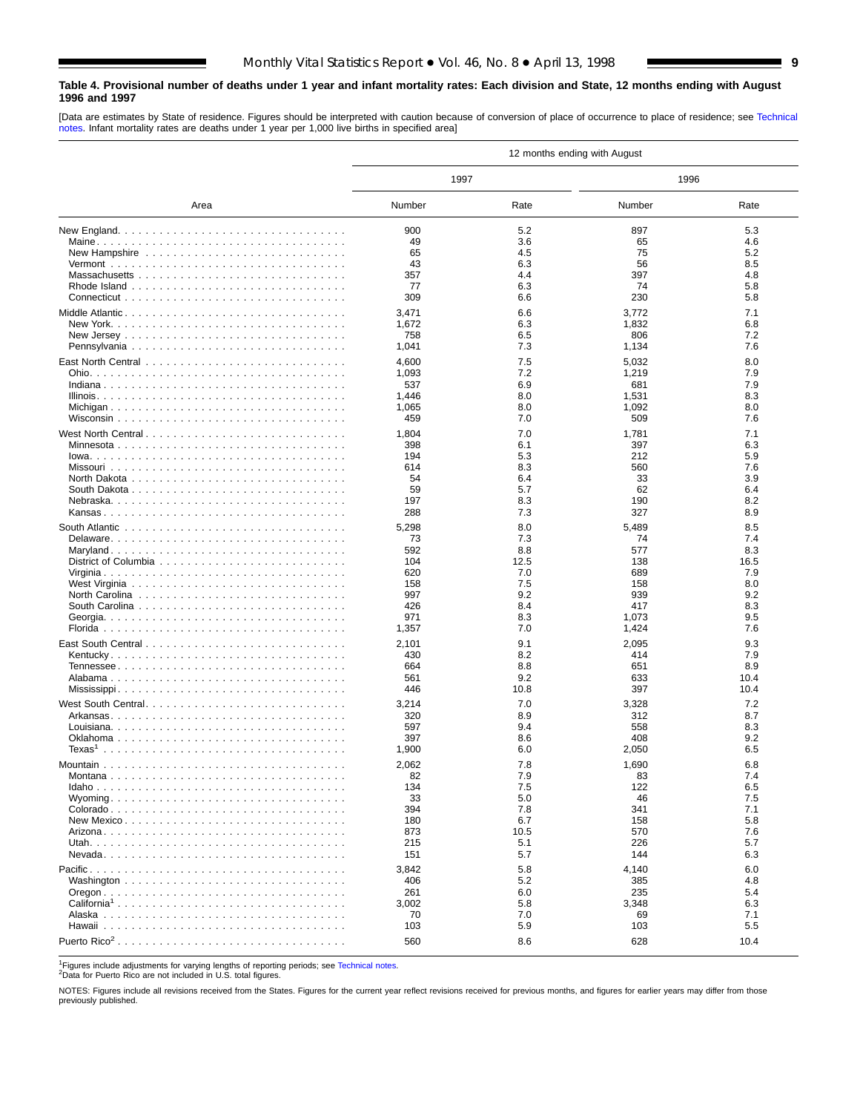#### <span id="page-8-0"></span>**Table 4. Provisional number of deaths under 1 year and infant mortality rates: Each division and State, 12 months ending with August 1996 and 1997**

[Data are estimates by State of residence. Figures should be interpreted with caution because of conversion of place of occurrence to place of residence; see [Technical](#page-16-0) [notes. I](#page-16-0)nfant mortality rates are deaths under 1 year per 1,000 live births in specified area]

|                         |              |             | 12 months ending with August |            |
|-------------------------|--------------|-------------|------------------------------|------------|
|                         | 1997         |             | 1996                         |            |
| Area                    | Number       | Rate        | Number                       | Rate       |
|                         | 900          | 5.2         | 897                          | 5.3        |
|                         | 49           | 3.6         | 65                           | 4.6        |
|                         | 65           | 4.5         | 75                           | 5.2        |
|                         | 43           | 6.3         | 56                           | 8.5        |
|                         | 357          | 4.4         | 397                          | 4.8        |
|                         | 77           | 6.3         | 74                           | 5.8        |
|                         | 309          | 6.6         | 230                          | 5.8        |
|                         | 3,471        | 6.6         | 3,772                        | 7.1        |
|                         | 1,672        | 6.3         | 1,832                        | 6.8        |
|                         | 758          | 6.5         | 806                          | 7.2        |
|                         | 1,041        | 7.3         | 1,134                        | 7.6        |
|                         | 4,600        | 7.5         | 5,032                        | 8.0        |
|                         | 1,093        | 7.2<br>6.9  | 1,219                        | 7.9<br>7.9 |
|                         | 537<br>1,446 | 8.0         | 681                          | 8.3        |
|                         | 1,065        | 8.0         | 1,531<br>1,092               | 8.0        |
|                         | 459          | 7.0         | 509                          | 7.6        |
|                         |              |             |                              |            |
| West North Central      | 1,804<br>398 | 7.0<br>6.1  | 1,781<br>397                 | 7.1<br>6.3 |
|                         | 194          | 5.3         | 212                          | 5.9        |
|                         | 614          | 8.3         | 560                          | 7.6        |
|                         | 54           | 6.4         | 33                           | 3.9        |
|                         | 59           | 5.7         | 62                           | 6.4        |
|                         | 197          | 8.3         | 190                          | 8.2        |
|                         | 288          | 7.3         | 327                          | 8.9        |
|                         | 5,298        | 8.0         | 5,489                        | 8.5        |
|                         | 73           | 7.3         | 74                           | 7.4        |
|                         | 592          | 8.8         | 577                          | 8.3        |
|                         | 104          | 12.5        | 138                          | 16.5       |
|                         | 620          | 7.0         | 689                          | 7.9        |
|                         | 158          | 7.5         | 158                          | 8.0        |
|                         | 997          | 9.2         | 939                          | 9.2        |
|                         | 426<br>971   | 8.4<br>8.3  | 417<br>1,073                 | 8.3<br>9.5 |
|                         | 1,357        | 7.0         | 1,424                        | 7.6        |
|                         |              |             |                              |            |
|                         | 2,101<br>430 | 9.1<br>8.2  | 2,095<br>414                 | 9.3<br>7.9 |
|                         | 664          | 8.8         | 651                          | 8.9        |
|                         | 561          | 9.2         | 633                          | 10.4       |
|                         | 446          | 10.8        | 397                          | 10.4       |
|                         | 3,214        | 7.0         | 3,328                        | 7.2        |
|                         | 320          | 8.9         | 312                          | 8.7        |
|                         | 597          | 9.4         | 558                          | 8.3        |
|                         | 397          | 8.6         | 408                          | 9.2        |
|                         | 1,900        | 6.0         | 2,050                        | 6.5        |
|                         | 2,062        | 7.8         | 1,690                        | 6.8        |
| Montana                 | 82           | 7.9         | 83                           | 7.4        |
|                         | 134          | 7.5         | 122                          | 6.5        |
|                         | 33           | 5.0         | 46                           | 7.5        |
|                         | 394          | 7.8         | 341                          | 7.1        |
|                         | 180          | 6.7         | 158                          | 5.8        |
|                         | 873<br>215   | 10.5<br>5.1 | 570<br>226                   | 7.6<br>5.7 |
|                         | 151          | 5.7         | 144                          | 6.3        |
|                         |              |             |                              |            |
|                         | 3,842<br>406 | 5.8<br>5.2  | 4,140                        | 6.0<br>4.8 |
|                         | 261          | 6.0         | 385<br>235                   | 5.4        |
| California <sup>1</sup> | 3,002        | 5.8         | 3,348                        | 6.3        |
|                         | 70           | 7.0         | 69                           | 7.1        |
|                         | 103          | 5.9         | 103                          | 5.5        |
|                         | 560          | 8.6         | 628                          | 10.4       |
|                         |              |             |                              |            |

1Figures include adjustments for varying lengths of reporting periods; see [Technical notes.](#page-16-0)<br><sup>2</sup>Data for Puerto Rico are not included in U.S. total figures.

NOTES: Figures include all revisions received from the States. Figures for the current year reflect revisions received for previous months, and figures for earlier years may differ from those previously published.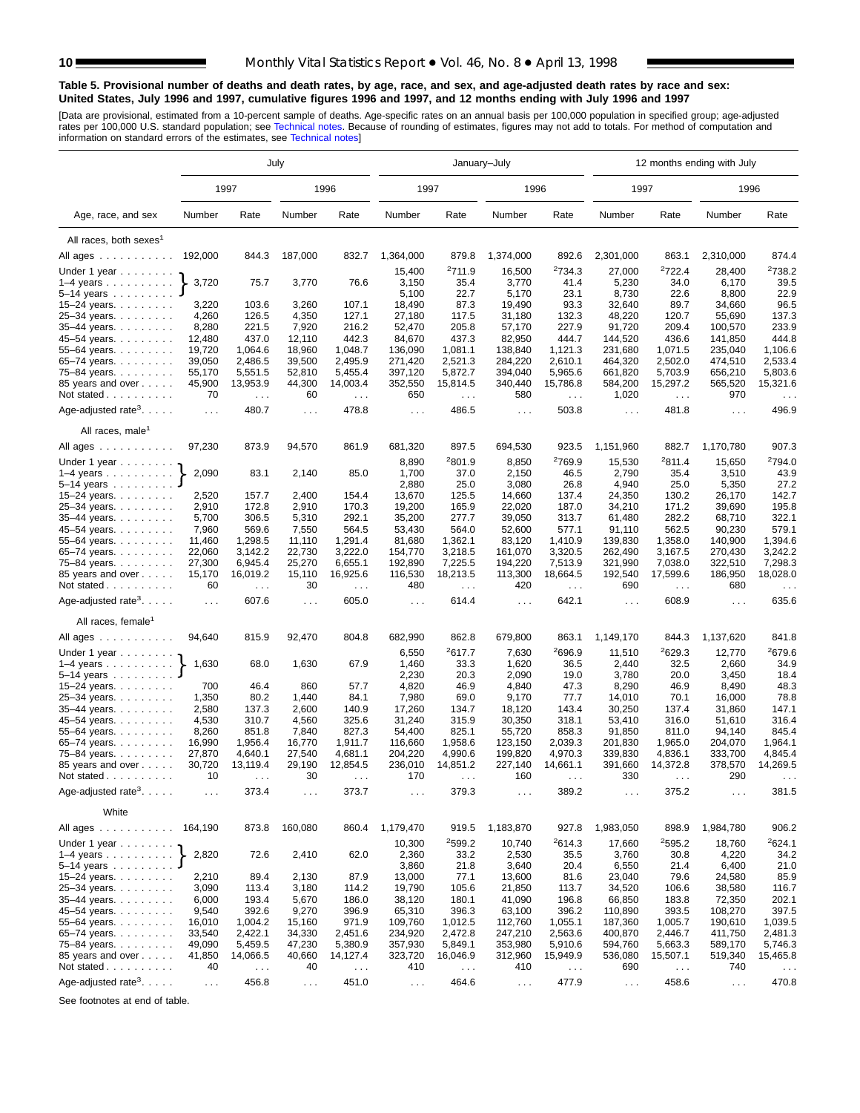#### <span id="page-9-0"></span>**Table 5. Provisional number of deaths and death rates, by age, race, and sex, and age-adjusted death rates by race and sex: United States, July 1996 and 1997, cumulative figures 1996 and 1997, and 12 months ending with July 1996 and 1997**

[Data are provisional, estimated from a 10-percent sample of deaths. Age-specific rates on an annual basis per 100,000 population in specified group; age-adjusted<br>rates per 100,000 U.S. standard population; see Technical n

|                                                                             |                |                               | July           |                      |                  |                        | January-July         |                    |                      |                    | 12 months ending with July |                               |
|-----------------------------------------------------------------------------|----------------|-------------------------------|----------------|----------------------|------------------|------------------------|----------------------|--------------------|----------------------|--------------------|----------------------------|-------------------------------|
|                                                                             |                | 1997                          |                | 1996                 | 1997             |                        | 1996                 |                    | 1997                 |                    | 1996                       |                               |
| Age, race, and sex                                                          | Number         | Rate                          | Number         | Rate                 | Number           | Rate                   | Number               | Rate               | Number               | Rate               | Number                     | Rate                          |
| All races, both sexes <sup>1</sup>                                          |                |                               |                |                      |                  |                        |                      |                    |                      |                    |                            |                               |
| All ages                                                                    | 192,000        | 844.3                         | 187,000        | 832.7                | 1,364,000        | 879.8                  | 1,374,000            | 892.6              | 2,301,000            | 863.1              | 2,310,000                  | 874.4                         |
|                                                                             |                |                               |                |                      | 15,400           | 2711.9                 | 16,500               | <sup>2</sup> 734.3 | 27,000               | <sup>2</sup> 722.4 | 28,400                     | 2738.2                        |
| Under 1 year $\ldots \ldots$<br>$1-4$ years $\ldots$ $\ldots$ $\ldots$ .    | 3,720          | 75.7                          | 3,770          | 76.6                 | 3,150            | 35.4                   | 3,770                | 41.4               | 5,230                | 34.0               | 6,170                      | 39.5                          |
| 5–14 years $\ldots$                                                         |                |                               |                |                      | 5,100            | 22.7                   | 5,170                | 23.1               | 8,730                | 22.6               | 8,800                      | 22.9                          |
| 15-24 years.                                                                | 3,220          | 103.6                         | 3,260          | 107.1                | 18,490           | 87.3                   | 19,490               | 93.3               | 32,640               | 89.7               | 34,660                     | 96.5                          |
| 25-34 years.                                                                | 4,260          | 126.5                         | 4,350          | 127.1                | 27,180           | 117.5                  | 31,180               | 132.3              | 48,220               | 120.7              | 55,690                     | 137.3                         |
| 35-44 years.                                                                | 8,280          | 221.5                         | 7,920          | 216.2                | 52,470           | 205.8                  | 57,170               | 227.9              | 91,720               | 209.4              | 100,570                    | 233.9                         |
| 45-54 years.                                                                | 12,480         | 437.0                         | 12,110         | 442.3                | 84,670           | 437.3                  | 82,950               | 444.7              | 144,520              | 436.6              | 141,850                    | 444.8                         |
| 55-64 years.                                                                | 19,720         | 1,064.6                       | 18,960         | 1,048.7              | 136,090          | 1,081.1                | 138,840              | 1,121.3            | 231,680              | 1,071.5            | 235,040                    | 1,106.6                       |
| 65-74 years.                                                                | 39,050         | 2,486.5                       | 39,500         | 2,495.9              | 271,420          | 2,521.3                | 284,220              | 2,610.1            | 464,320              | 2,502.0            | 474,510                    | 2,533.4                       |
| 75-84 years.                                                                | 55,170         | 5,551.5                       | 52,810         | 5,455.4              | 397,120          | 5,872.7                | 394,040              | 5,965.6            | 661,820              | 5,703.9            | 656,210                    | 5,803.6                       |
| 85 years and over                                                           | 45,900         | 13,953.9                      | 44,300         | 14,003.4             | 352,550          | 15,814.5               | 340,440              | 15,786.8           | 584,200              | 15,297.2           | 565,520                    | 15,321.6                      |
| Not stated                                                                  | 70             | $\ldots$                      | 60             | $\sim$ $\sim$ $\sim$ | 650              | $\sim$ $\sim$          | 580                  | $\sim$ $\sim$      | 1,020                | $\sim$             | 970                        | $\cdots$                      |
|                                                                             |                | 480.7                         |                | 478.8                |                  | 486.5                  |                      | 503.8              |                      | 481.8              |                            | 496.9                         |
| Age-adjusted rate <sup>3</sup> . $\ldots$ .<br>All races, male <sup>1</sup> | $\sim$ $\sim$  |                               | $\sim$ .       |                      | $\sim$ .         |                        | $\sim$               |                    | $\sim$ $\sim$ $\sim$ |                    | $\sim$ $\sim$              |                               |
|                                                                             |                |                               |                |                      |                  |                        |                      |                    |                      |                    |                            |                               |
| All ages                                                                    | 97,230         | 873.9                         | 94,570         | 861.9                | 681,320          | 897.5                  | 694,530              | 923.5              | 1,151,960            | 882.7<br>2811.4    | 1,170,780                  | 907.3                         |
| Under 1 year $\ldots \ldots$                                                |                |                               |                |                      | 8,890            | <sup>2</sup> 801.9     | 8,850                | <sup>2</sup> 769.9 | 15,530               |                    | 15,650                     | <sup>2</sup> 794.0            |
| $1-4$ years                                                                 | 2,090          | 83.1                          | 2,140          | 85.0                 | 1,700            | 37.0                   | 2,150                | 46.5               | 2,790                | 35.4               | 3,510                      | 43.9                          |
| 5–14 years $\ldots$<br>15-24 years.                                         | 2,520          | 157.7                         | 2,400          | 154.4                | 2,880<br>13,670  | 25.0<br>125.5          | 3,080<br>14,660      | 26.8<br>137.4      | 4,940<br>24,350      | 25.0<br>130.2      | 5,350<br>26,170            | 27.2<br>142.7                 |
|                                                                             | 2,910          | 172.8                         | 2,910          | 170.3                | 19,200           | 165.9                  | 22,020               | 187.0              | 34,210               | 171.2              | 39,690                     | 195.8                         |
| 25-34 years.<br>35-44 years.                                                | 5,700          | 306.5                         | 5,310          | 292.1                | 35,200           | 277.7                  | 39,050               | 313.7              | 61,480               | 282.2              | 68,710                     | 322.1                         |
| 45–54 years.                                                                | 7,960          | 569.6                         | 7,550          | 564.5                | 53,430           | 564.0                  | 52,600               | 577.1              | 91,110               | 562.5              | 90,230                     | 579.1                         |
| 55-64 years.                                                                | 11,460         | 1,298.5                       | 11,110         | 1,291.4              | 81,680           | 1,362.1                | 83,120               | 1,410.9            | 139,830              | 1,358.0            | 140,900                    | 1,394.6                       |
| 65-74 years.                                                                | 22,060         | 3,142.2                       | 22,730         | 3,222.0              | 154,770          | 3,218.5                | 161,070              | 3,320.5            | 262,490              | 3,167.5            | 270,430                    | 3,242.2                       |
| 75–84 years.                                                                | 27,300         | 6,945.4                       | 25,270         | 6,655.1              | 192,890          | 7,225.5                | 194,220              | 7,513.9            | 321,990              | 7,038.0            | 322,510                    | 7,298.3                       |
| 85 years and over                                                           | 15,170         | 16,019.2                      | 15,110         | 16,925.6             | 116,530          | 18,213.5               | 113,300              | 18,664.5           | 192,540              | 17,599.6           | 186,950                    | 18,028.0                      |
| Not stated                                                                  | 60             |                               | 30             |                      | 480              |                        | 420                  |                    | 690                  |                    | 680                        |                               |
| Age-adjusted rate <sup>3</sup> . $\ldots$ .                                 | $\ldots$       | $\sim$ $\sim$ $\sim$<br>607.6 | $\ldots$       | $\sim$ .<br>605.0    | $\sim$ .         | $\sim$ $\sim$<br>614.4 | $\sim 100$           | $\sim$ .<br>642.1  | $\sim 100$           | $\sim$<br>608.9    | $\sim 10$ .                | $\sim$ $\sim$ $\sim$<br>635.6 |
| All races, female <sup>1</sup>                                              |                |                               |                |                      |                  |                        |                      |                    |                      |                    |                            |                               |
| All ages                                                                    | 94,640         | 815.9                         | 92,470         | 804.8                | 682,990          | 862.8                  | 679,800              | 863.1              | 1,149,170            | 844.3              | 1,137,620                  | 841.8                         |
|                                                                             |                |                               |                |                      |                  |                        |                      |                    |                      |                    |                            |                               |
| Under 1 year                                                                |                |                               |                |                      | 6,550            | 2617.7                 | 7,630                | <sup>2</sup> 696.9 | 11,510               | 2629.3             | 12,770                     | <sup>2</sup> 679.6            |
| $1-4$ years                                                                 | 1,630          | 68.0                          | 1,630          | 67.9                 | 1,460            | 33.3                   | 1,620                | 36.5               | 2,440                | 32.5               | 2,660                      | 34.9                          |
| 5-14 years                                                                  |                |                               |                |                      | 2,230            | 20.3                   | 2,090                | 19.0               | 3,780                | 20.0               | 3,450                      | 18.4                          |
| 15–24 years. $\ldots$                                                       | 700            | 46.4                          | 860            | 57.7                 | 4,820            | 46.9                   | 4,840                | 47.3               | 8,290                | 46.9               | 8,490                      | 48.3                          |
| 25-34 years.                                                                | 1,350          | 80.2                          | 1,440          | 84.1                 | 7,980            | 69.0                   | 9,170                | 77.7               | 14,010               | 70.1               | 16,000                     | 78.8                          |
| 35-44 years.                                                                | 2,580          | 137.3                         | 2,600          | 140.9                | 17,260           | 134.7<br>315.9         | 18,120               | 143.4              | 30,250               | 137.4              | 31,860                     | 147.1<br>316.4                |
| 45-54 years.                                                                | 4,530<br>8,260 | 310.7<br>851.8                | 4,560<br>7,840 | 325.6<br>827.3       | 31,240<br>54,400 | 825.1                  | 30,350<br>55,720     | 318.1<br>858.3     | 53,410               | 316.0<br>811.0     | 51,610<br>94,140           | 845.4                         |
| 55-64 years.                                                                | 16,990         | 1,956.4                       | 16,770         | 1,911.7              | 116,660          | 1,958.6                | 123,150              | 2,039.3            | 91,850<br>201,830    | 1,965.0            | 204,070                    | 1,964.1                       |
| 65-74 years.<br>75–84 years.                                                | 27,870         | 4,640.1                       | 27,540         | 4,681.1              | 204,220          | 4,990.6                | 199,820              | 4,970.3            | 339,830              | 4,836.1            | 333,700                    | 4,845.4                       |
| 85 years and over                                                           | 30,720         | 13,119.4                      | 29,190         | 12,854.5             | 236,010          | 14,851.2               | 227,140              | 14,661.1           | 391,660              | 14,372.8           | 378,570                    | 14,269.5                      |
| Not stated.<br>.                                                            | 10             |                               | 30             |                      | 170              |                        | 160                  |                    | 330                  |                    | 290                        |                               |
| Age-adjusted rate <sup>3</sup> .                                            | $\sim$ $\sim$  | 373.4                         | $\sim$ .       | 373.7                | $\cdots$         | 379.3                  | $\sim$ $\sim$ $\sim$ | 389.2              | $\sim$ $\sim$ $\sim$ | 375.2              | $\sim$ $\sim$ $\sim$       | 381.5                         |
| White                                                                       |                |                               |                |                      |                  |                        |                      |                    |                      |                    |                            |                               |
| All ages 164,190                                                            |                | 873.8                         | 160,080        | 860.4                | 1,179,470        | 919.5                  | 1,183,870            | 927.8              | 1,983,050            | 898.9              | 1,984,780                  | 906.2                         |
| Under 1 year $\ldots \ldots$                                                |                |                               |                |                      | 10,300           | 2599.2                 | 10,740               | 2614.3             | 17,660               | 2595.2             | 18,760                     | 2624.1                        |
| $1-4$ years                                                                 | 2,820          | 72.6                          | 2,410          | 62.0                 | 2,360            | 33.2                   | 2,530                | 35.5               | 3,760                | 30.8               | 4,220                      | 34.2                          |
| $5 - 14$ years                                                              |                |                               |                |                      | 3,860            | 21.8                   | 3,640                | 20.4               | 6,550                | 21.4               | 6,400                      | 21.0                          |
| 15–24 years. $\ldots$                                                       | 2,210          | 89.4                          | 2,130          | 87.9                 | 13,000           | 77.1                   | 13,600               | 81.6               | 23,040               | 79.6               | 24,580                     | 85.9                          |
| 25-34 years.                                                                | 3,090          | 113.4                         | 3,180          | 114.2                | 19,790           | 105.6                  | 21,850               | 113.7              | 34,520               | 106.6              | 38,580                     | 116.7                         |
| 35-44 years.                                                                | 6,000          | 193.4                         | 5,670          | 186.0                | 38,120           | 180.1                  | 41,090               | 196.8              | 66,850               | 183.8              | 72,350                     | 202.1                         |
| 45-54 years.                                                                | 9,540          | 392.6                         | 9,270          | 396.9                | 65,310           | 396.3                  | 63,100               | 396.2              | 110,890              | 393.5              | 108,270                    | 397.5                         |
| 55-64 years.                                                                | 16,010         | 1,004.2                       | 15,160         | 971.9                | 109,760          | 1,012.5                | 112,760              | 1,055.1            | 187,360              | 1,005.7            | 190,610                    | 1,039.5                       |
| 65-74 years.                                                                | 33,540         | 2,422.1                       | 34,330         | 2,451.6              | 234,920          | 2,472.8                | 247,210              | 2,563.6            | 400,870              | 2,446.7            | 411,750                    | 2,481.3                       |
| 75-84 years.                                                                | 49,090         | 5,459.5                       | 47,230         | 5,380.9              | 357,930          | 5,849.1                | 353,980              | 5,910.6            | 594,760              | 5,663.3            | 589,170                    | 5,746.3                       |
| 85 years and over                                                           | 41,850         | 14,066.5                      | 40,660         | 14,127.4             | 323,720          | 16,046.9               | 312,960              | 15,949.9           | 536,080              | 15,507.1           | 519,340                    | 15,465.8                      |
| Not stated                                                                  | 40             | $\sim$ $\sim$                 | 40             | $\sim$ .             | 410              | $\sim$ $\sim$          | 410                  | $\sim$ $\sim$      | 690                  | $\sim$ .           | 740                        |                               |
| Age-adjusted rate <sup>3</sup> .                                            | $\sim$         | 456.8                         | $\sim$ $\sim$  | 451.0                | $\epsilon$ .     | 464.6                  | $\sim$ $\sim$        | 477.9              | $\sim$ $\sim$        | 458.6              | $\sim$ $\sim$              | 470.8                         |

See footnotes at end of table.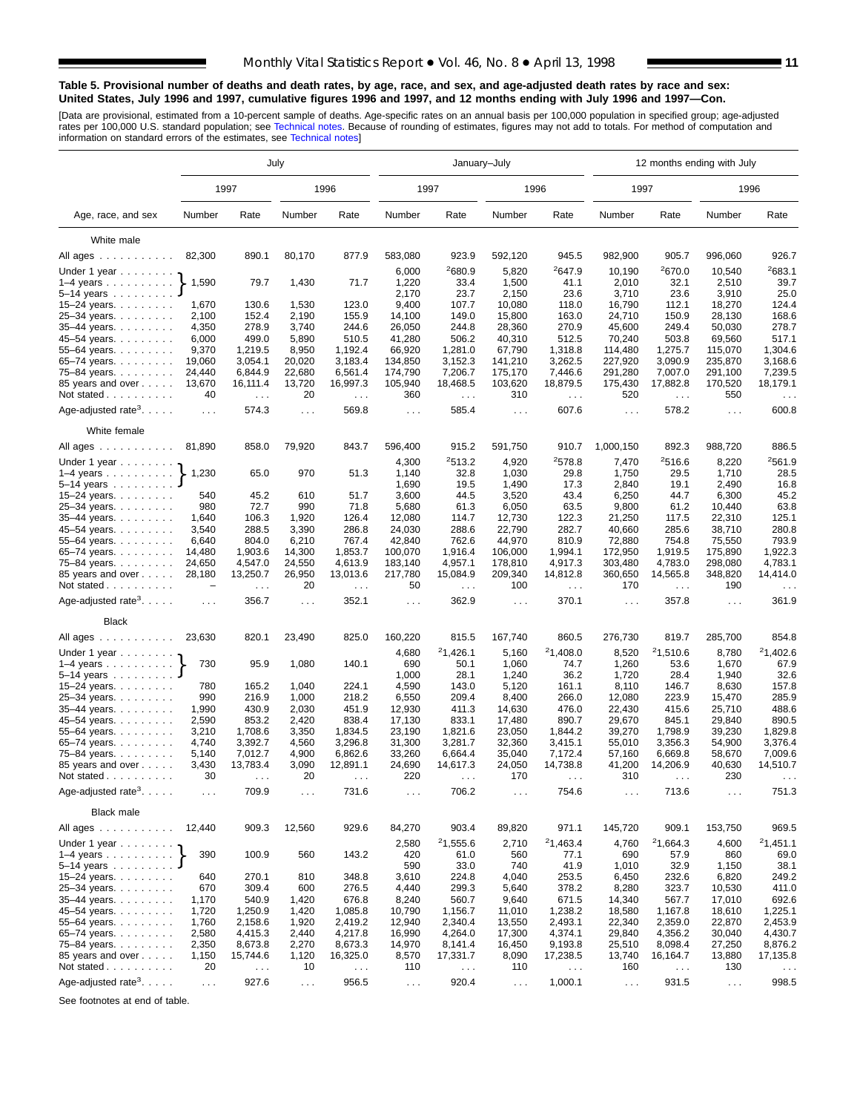#### **Table 5. Provisional number of deaths and death rates, by age, race, and sex, and age-adjusted death rates by race and sex: United States, July 1996 and 1997, cumulative figures 1996 and 1997, and 12 months ending with July 1996 and 1997—Con.**

[Data are provisional, estimated from a 10-percent sample of deaths. Age-specific rates on an annual basis per 100,000 population in specified group; age-adjusted<br>rates per 100,000 U.S. standard population; see Technical n

|                                                          |                 |                      | July             |                     |                      | January-July           |                               |                        | 12 months ending with July |                               |                      |                               |  |
|----------------------------------------------------------|-----------------|----------------------|------------------|---------------------|----------------------|------------------------|-------------------------------|------------------------|----------------------------|-------------------------------|----------------------|-------------------------------|--|
|                                                          |                 | 1997                 |                  | 1996                | 1997                 |                        |                               | 1996                   | 1997                       |                               |                      | 1996                          |  |
| Age, race, and sex                                       | Number          | Rate                 | Number           | Rate                | Number               | Rate                   | Number                        | Rate                   | Number                     | Rate                          | Number               | Rate                          |  |
| White male                                               |                 |                      |                  |                     |                      |                        |                               |                        |                            |                               |                      |                               |  |
| All ages                                                 | 82,300          | 890.1                | 80,170           | 877.9               | 583,080              | 923.9                  | 592,120                       | 945.5                  | 982,900                    | 905.7                         | 996,060              | 926.7                         |  |
|                                                          |                 |                      |                  |                     |                      | <sup>2</sup> 680.9     | 5,820                         | <sup>2</sup> 647.9     | 10,190                     | 2670.0                        | 10,540               | 2683.1                        |  |
| Under 1 year                                             | 1,590           | 79.7                 | 1,430            | 71.7                | 6,000<br>1,220       | 33.4                   | 1,500                         | 41.1                   | 2,010                      | 32.1                          | 2,510                | 39.7                          |  |
| $1-4$ years $\ldots$ $\ldots$ $\ldots$<br>$5 - 14$ years |                 |                      |                  |                     | 2,170                | 23.7                   | 2,150                         | 23.6                   | 3,710                      | 23.6                          | 3,910                | 25.0                          |  |
| 15-24 years.                                             | 1,670           | 130.6                | 1,530            | 123.0               | 9,400                | 107.7                  | 10,080                        | 118.0                  | 16,790                     | 112.1                         | 18,270               | 124.4                         |  |
| 25-34 years.                                             | 2,100           | 152.4                | 2,190            | 155.9               | 14,100               | 149.0                  | 15,800                        | 163.0                  | 24,710                     | 150.9                         | 28,130               | 168.6                         |  |
| 35-44 years.                                             | 4,350           | 278.9                | 3,740            | 244.6               | 26,050               | 244.8                  | 28,360                        | 270.9                  | 45,600                     | 249.4                         | 50,030               | 278.7                         |  |
| 45-54 years.                                             | 6,000           | 499.0                | 5,890            | 510.5               | 41,280               | 506.2                  | 40,310                        | 512.5                  | 70,240                     | 503.8                         | 69,560               | 517.1                         |  |
| 55-64 years.                                             | 9,370           | 1,219.5              | 8,950            | 1,192.4             | 66,920               | 1,281.0                | 67,790                        | 1,318.8                | 114,480                    | 1,275.7                       | 115,070              | 1,304.6                       |  |
| 65-74 years.                                             | 19,060          | 3,054.1              | 20,020           | 3,183.4             | 134,850              | 3,152.3                | 141,210                       | 3,262.5                | 227,920                    | 3,090.9                       | 235,870              | 3,168.6                       |  |
| 75-84 years.                                             | 24,440          | 6,844.9              | 22,680           | 6,561.4             | 174,790              | 7,206.7                | 175,170                       | 7,446.6                | 291,280                    | 7,007.0                       | 291,100              | 7,239.5                       |  |
| 85 years and over                                        | 13,670          | 16,111.4             | 13,720           | 16,997.3            | 105,940              | 18,468.5               | 103,620                       | 18,879.5               | 175,430                    | 17,882.8                      | 170,520              | 18,179.1                      |  |
| Not stated                                               | 40              | $\sim 10$            | 20               | $\sim 100$          | 360                  | $\sim$ $\sim$          | 310                           | $\sim$ $\sim$          | 520                        | $\sim$ $\sim$                 | 550                  |                               |  |
| Age-adjusted rate <sup>3</sup> . $\ldots$ .              | $\sim 100$      | 574.3                | $\mathbf{1}$     | 569.8               | $\sim 100$           | 585.4                  | $\sim$ $\sim$ $\sim$          | 607.6                  | $\sim 100$                 | 578.2                         | $\sim 10$            | 600.8                         |  |
| White female                                             |                 |                      |                  |                     |                      |                        |                               |                        |                            |                               |                      |                               |  |
| All ages                                                 | 81,890          | 858.0                | 79,920           | 843.7               | 596,400              | 915.2                  | 591,750                       | 910.7                  | 1,000,150                  | 892.3                         | 988,720              | 886.5                         |  |
| Under 1 year                                             |                 |                      |                  |                     | 4,300                | 2513.2                 | 4,920                         | 2578.8                 | 7,470                      | 2516.6                        | 8,220                | 2561.9                        |  |
| $1-4$ years                                              | 1,230           | 65.0                 | 970              | 51.3                | 1,140                | 32.8                   | 1,030                         | 29.8                   | 1,750                      | 29.5                          | 1,710                | 28.5                          |  |
| $5 - 14$ years                                           |                 |                      |                  |                     | 1,690                | 19.5                   | 1,490                         | 17.3                   | 2,840                      | 19.1                          | 2,490                | 16.8                          |  |
| 15–24 years. $\ldots$                                    | 540             | 45.2                 | 610              | 51.7                | 3,600                | 44.5                   | 3,520                         | 43.4                   | 6,250                      | 44.7                          | 6,300                | 45.2                          |  |
| 25-34 years.                                             | 980             | 72.7                 | 990              | 71.8                | 5,680                | 61.3                   | 6,050                         | 63.5                   | 9,800                      | 61.2                          | 10,440               | 63.8                          |  |
| 35-44 years.                                             | 1,640           | 106.3                | 1,920            | 126.4               | 12,080               | 114.7                  | 12,730                        | 122.3                  | 21,250                     | 117.5                         | 22,310               | 125.1                         |  |
| 45-54 years.                                             | 3,540           | 288.5                | 3,390            | 286.8               | 24,030               | 288.6                  | 22,790                        | 282.7                  | 40,660                     | 285.6                         | 38,710               | 280.8                         |  |
| 55–64 years. $\ldots$                                    | 6,640<br>14.480 | 804.0<br>1,903.6     | 6,210            | 767.4<br>1,853.7    | 42,840<br>100,070    | 762.6<br>1.916.4       | 44,970                        | 810.9<br>1,994.1       | 72,880                     | 754.8                         | 75,550               | 793.9<br>1,922.3              |  |
| 65-74 years.                                             | 24,650          | 4,547.0              | 14,300<br>24,550 | 4,613.9             | 183,140              | 4,957.1                | 106,000<br>178,810            | 4,917.3                | 172,950<br>303,480         | 1,919.5<br>4,783.0            | 175,890<br>298,080   | 4,783.1                       |  |
| 75–84 years.<br>85 years and over<br>Not stated $\ldots$ | 28,180<br>-     | 13,250.7             | 26,950<br>20     | 13,013.6            | 217,780<br>50        | 15,084.9               | 209,340<br>100                | 14,812.8               | 360,650<br>170             | 14,565.8                      | 348,820<br>190       | 14,414.0                      |  |
| Age-adjusted rate <sup>3</sup> .                         | $\sim 100$      | $\sim 10$ .<br>356.7 | $\ldots$         | $\sim 100$<br>352.1 | $\sim$ $\sim$        | $\sim$ $\sim$<br>362.9 | $\sim$ $\sim$                 | $\sim$ $\sim$<br>370.1 | $\sim$ $\sim$              | $\sim$ $\sim$ $\sim$<br>357.8 | $\sim 10$            | $\sim$ $\sim$ $\sim$<br>361.9 |  |
| <b>Black</b>                                             |                 |                      |                  |                     |                      |                        |                               |                        |                            |                               |                      |                               |  |
| All ages                                                 | 23,630          | 820.1                | 23,490           | 825.0               | 160,220              | 815.5                  | 167,740                       | 860.5                  | 276,730                    | 819.7                         | 285,700              | 854.8                         |  |
| Under 1 year                                             |                 |                      |                  |                     | 4,680                | 21,426.1               | 5,160                         | 21,408.0               | 8,520                      | 21,510.6                      | 8,780                | 21,402.6                      |  |
| $1-4$ years                                              | 730             | 95.9                 | 1,080            | 140.1               | 690                  | 50.1<br>28.1           | 1,060                         | 74.7<br>36.2           | 1,260                      | 53.6                          | 1,670                | 67.9<br>32.6                  |  |
| 5-14 years<br>15-24 years.                               | 780             | 165.2                | 1,040            | 224.1               | 1,000<br>4,590       | 143.0                  | 1,240<br>5,120                | 161.1                  | 1,720<br>8,110             | 28.4<br>146.7                 | 1,940<br>8,630       | 157.8                         |  |
| 25-34 years.                                             | 990             | 216.9                | 1,000            | 218.2               | 6,550                | 209.4                  | 8,400                         | 266.0                  | 12,080                     | 223.9                         | 15,470               | 285.9                         |  |
| 35-44 years.                                             | 1,990           | 430.9                | 2,030            | 451.9               | 12,930               | 411.3                  | 14,630                        | 476.0                  | 22,430                     | 415.6                         | 25,710               | 488.6                         |  |
| 45–54 years.                                             | 2,590           | 853.2                | 2,420            | 838.4               | 17,130               | 833.1                  | 17,480                        | 890.7                  | 29,670                     | 845.1                         | 29,840               | 890.5                         |  |
| 55-64 years.                                             | 3,210           | 1,708.6              | 3,350            | 1,834.5             | 23,190               | 1,821.6                | 23,050                        | 1,844.2                | 39,270                     | 1,798.9                       | 39,230               | 1,829.8                       |  |
| 65-74 years.                                             | 4,740           | 3,392.7              | 4,560            | 3,296.8             | 31,300               | 3,281.7                | 32,360                        | 3,415.1                | 55,010                     | 3,356.3                       | 54,900               | 3,376.4                       |  |
| 75–84 years.                                             | 5,140           | 7,012.7              | 4,900            | 6,862.6             | 33,260               | 6,664.4                | 35,040                        | 7,172.4                | 57,160                     | 6,669.8                       | 58,670               | 7,009.6                       |  |
| 85 years and over                                        | 3,430           | 13,783.4             | 3,090            | 12,891.1            | 24,690               | 14,617.3               | 24,050                        | 14,738.8               | 41,200                     | 14,206.9                      | 40,630               | 14,510.7                      |  |
| Not stated.<br>and and and and a                         | 30              |                      | 20               |                     | 220                  |                        | 170                           |                        | 310                        |                               | 230                  |                               |  |
| Age-adjusted rate <sup>3</sup> . $\ldots$ .              | $\cdots$        | 709.9                | .                | 731.6               | $\sim$ $\sim$        | 706.2                  | $\sim$ $\sim$ $\sim$          | 754.6                  | $\sim$ $\sim$ $\sim$       | 713.6                         | $\cdots$             | 751.3                         |  |
| <b>Black male</b>                                        |                 |                      |                  |                     |                      |                        |                               |                        |                            |                               |                      |                               |  |
| All ages                                                 | 12,440          | 909.3                | 12,560           | 929.6               | 84,270               | 903.4                  | 89,820                        | 971.1                  | 145,720                    | 909.1                         | 153,750              | 969.5                         |  |
| Under 1 year                                             |                 |                      |                  |                     | 2,580                | 21,555.6               | 2,710                         | 21,463.4               | 4,760                      | 21,664.3                      | 4,600                | 21,451.1                      |  |
| $1-4$ years                                              | 390             | 100.9                | 560              | 143.2               | 420                  | 61.0                   | 560                           | 77.1                   | 690                        | 57.9                          | 860                  | 69.0                          |  |
| $5-14$ years $\ldots$                                    |                 |                      |                  |                     | 590                  | 33.0                   | 740                           | 41.9                   | 1,010                      | 32.9                          | 1,150                | 38.1                          |  |
| 15–24 years. $\ldots$                                    | 640             | 270.1                | 810              | 348.8               | 3,610                | 224.8                  | 4,040                         | 253.5                  | 6,450                      | 232.6                         | 6,820                | 249.2                         |  |
| 25-34 years                                              | 670             | 309.4                | 600              | 276.5               | 4,440                | 299.3                  | 5,640                         | 378.2                  | 8,280                      | 323.7                         | 10,530               | 411.0                         |  |
| 35-44 years.                                             | 1,170           | 540.9                | 1,420            | 676.8               | 8,240                | 560.7                  | 9,640                         | 671.5                  | 14,340                     | 567.7                         | 17,010               | 692.6                         |  |
| 45-54 years.                                             | 1,720           | 1,250.9              | 1,420            | 1,085.8             | 10,790               | 1,156.7                | 11,010                        | 1,238.2                | 18,580                     | 1,167.8                       | 18,610               | 1,225.1                       |  |
| 55–64 years. $\ldots$                                    | 1,760           | 2,158.6              | 1,920            | 2,419.2             | 12,940               | 2,340.4<br>4,264.0     | 13,550                        | 2,493.1                | 22,340<br>29,840           | 2,359.0                       | 22,870               | 2,453.9<br>4,430.7            |  |
| 65-74 years.                                             | 2,580           | 4,415.3              | 2,440            | 4,217.8             | 16,990               | 8,141.4                | 17,300                        | 4,374.1                |                            | 4,356.2                       | 30,040<br>27,250     |                               |  |
| 75-84 years.<br>85 years and over                        | 2,350<br>1,150  | 8,673.8<br>15,744.6  | 2,270<br>1,120   | 8,673.3<br>16,325.0 | 14,970<br>8,570      | 17,331.7               | 16,450<br>8,090               | 9,193.8<br>17,238.5    | 25,510<br>13,740           | 8,098.4<br>16,164.7           | 13,880               | 8,876.2<br>17,135.8           |  |
| Not stated                                               | 20              |                      | 10               |                     | 110                  |                        | 110                           |                        | 160                        |                               | 130                  |                               |  |
|                                                          |                 | $\sim$ $\sim$        |                  | $\ldots$            |                      | $\sim$ $\sim$          |                               | $\sim$ $\sim$          |                            | $\epsilon$ .                  |                      | $\sim$ $\sim$                 |  |
| Age-adjusted rate <sup>3</sup> .                         | $\sim$ $\sim$   | 927.6                | $\sim$ $\sim$    | 956.5               | $\sim$ $\sim$ $\sim$ | 920.4                  | $\epsilon \rightarrow \infty$ | 1,000.1                | $\sim$ $\sim$              | 931.5                         | $\sim$ $\sim$ $\sim$ | 998.5                         |  |

See footnotes at end of table.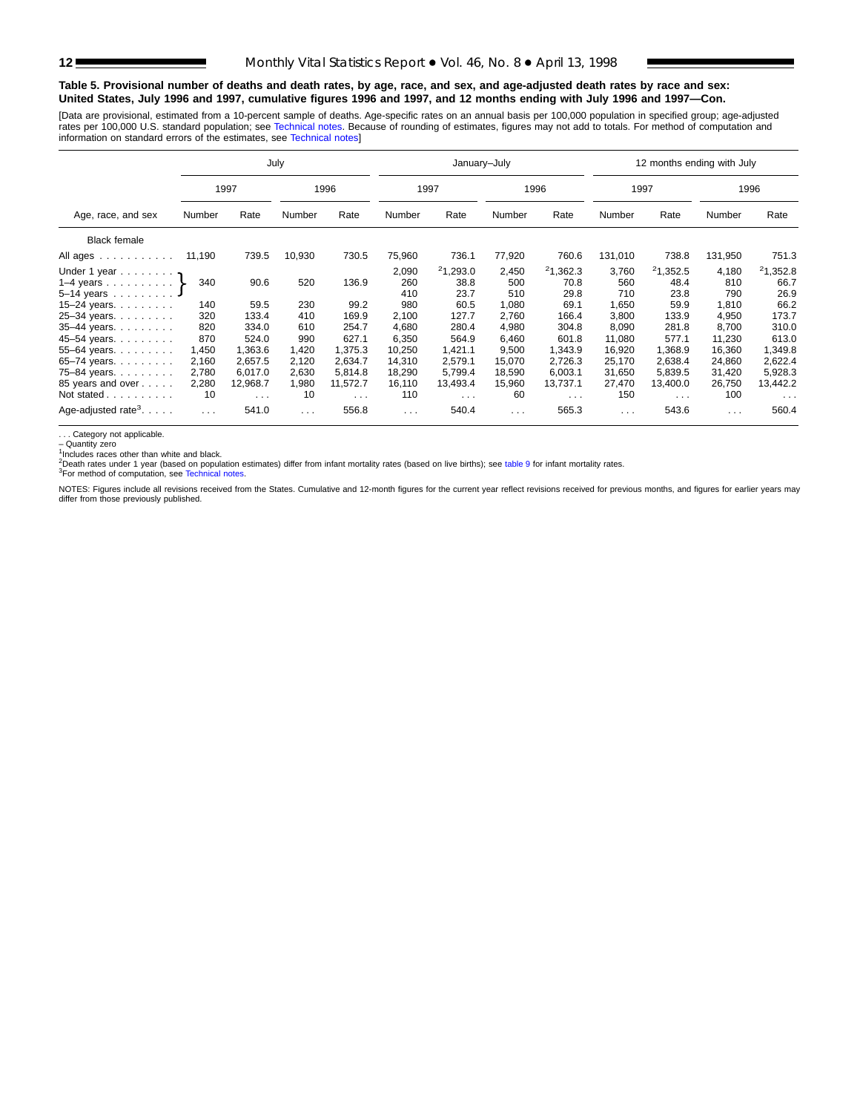#### **Table 5. Provisional number of deaths and death rates, by age, race, and sex, and age-adjusted death rates by race and sex: United States, July 1996 and 1997, cumulative figures 1996 and 1997, and 12 months ending with July 1996 and 1997—Con.**

[Data are provisional, estimated from a 10-percent sample of deaths. Age-specific rates on an annual basis per 100,000 population in specified group; age-adjusted rates per 100,000 U.S. standard population; see [Technical notes. Beca](#page-16-0)use of rounding of estimates, figures may not add to totals. For method of computation and<br>information on standard errors of the estimates, see Technical

|                                                         |          |          | July                 |          |                      | January-July     |              |                  |                      | 12 months ending with July |              |                  |
|---------------------------------------------------------|----------|----------|----------------------|----------|----------------------|------------------|--------------|------------------|----------------------|----------------------------|--------------|------------------|
|                                                         |          | 1997     |                      | 1996     |                      | 1997             |              | 1996             | 1997                 |                            |              | 1996             |
| Age, race, and sex                                      | Number   | Rate     | Number               | Rate     | Number               | Rate             | Number       | Rate             | Number               | Rate                       | Number       | Rate             |
| <b>Black female</b>                                     |          |          |                      |          |                      |                  |              |                  |                      |                            |              |                  |
| All ages                                                | 11,190   | 739.5    | 10,930               | 730.5    | 75,960               | 736.1            | 77,920       | 760.6            | 131,010              | 738.8                      | 131,950      | 751.3            |
| Under 1 year $\eta$<br>1–4 years $\ldots$ $\ldots$ $\}$ | 340      | 90.6     | 520                  | 136.9    | 2,090<br>260         | 21,293.0<br>38.8 | 2,450<br>500 | 21,362.3<br>70.8 | 3,760<br>560         | 21,352.5<br>48.4           | 4,180<br>810 | 21,352.8<br>66.7 |
| 5-14 years                                              |          |          |                      |          | 410                  | 23.7             | 510          | 29.8             | 710                  | 23.8                       | 790          | 26.9             |
| $15 - 24$ years.                                        | 140      | 59.5     | 230                  | 99.2     | 980                  | 60.5             | 1,080        | 69.1             | 1,650                | 59.9                       | 1,810        | 66.2             |
| 25-34 years.                                            | 320      | 133.4    | 410                  | 169.9    | 2,100                | 127.7            | 2,760        | 166.4            | 3.800                | 133.9                      | 4,950        | 173.7            |
| 35-44 years.                                            | 820      | 334.0    | 610                  | 254.7    | 4,680                | 280.4            | 4,980        | 304.8            | 8,090                | 281.8                      | 8,700        | 310.0            |
| 45-54 years.                                            | 870      | 524.0    | 990                  | 627.1    | 6,350                | 564.9            | 6,460        | 601.8            | 11,080               | 577.1                      | 11,230       | 613.0            |
| 55-64 years.                                            | 1,450    | 1,363.6  | 1,420                | 1.375.3  | 10,250               | 1,421.1          | 9,500        | 1,343.9          | 16,920               | 1.368.9                    | 16,360       | 1,349.8          |
| 65-74 years.                                            | 2,160    | 2,657.5  | 2,120                | 2,634.7  | 14,310               | 2,579.1          | 15,070       | 2,726.3          | 25,170               | 2,638.4                    | 24,860       | 2,622.4          |
| 75-84 years.                                            | 2,780    | 6,017.0  | 2,630                | 5.814.8  | 18,290               | 5,799.4          | 18,590       | 6,003.1          | 31,650               | 5,839.5                    | 31,420       | 5,928.3          |
| 85 years and over                                       | 2,280    | 12,968.7 | 1,980                | 11,572.7 | 16,110               | 13,493.4         | 15,960       | 13,737.1         | 27,470               | 13,400.0                   | 26,750       | 13,442.2         |
| Not stated                                              | 10       | $\cdots$ | 10                   | $\cdots$ | 110                  | $\cdots$         | 60           | $\cdots$         | 150                  | $\mathbf{1}$               | 100          | $\cdots$         |
| Age-adjusted rate <sup>3</sup> . $\ldots$ .             | $\cdots$ | 541.0    | $\sim$ $\sim$ $\sim$ | 556.8    | $\sim$ $\sim$ $\sim$ | 540.4            | $\sim 100$   | 565.3            | $\sim$ $\sim$ $\sim$ | 543.6                      | $\cdots$     | 560.4            |

. . . Category not applicable. – Quantity zero

Includes races other than white and black.

<sup>2</sup>Death rates under 1 year (based on population estimates) differ from infant mortality rates (based on live births); see [table 9](#page-15-0) for infant mortality rates.<br><sup>3</sup>For method of computation, see [Technical notes.](#page-16-0)

NOTES: Figures include all revisions received from the States. Cumulative and 12-month figures for the current year reflect revisions received for previous months, and figures for earlier years may differ from those previously published.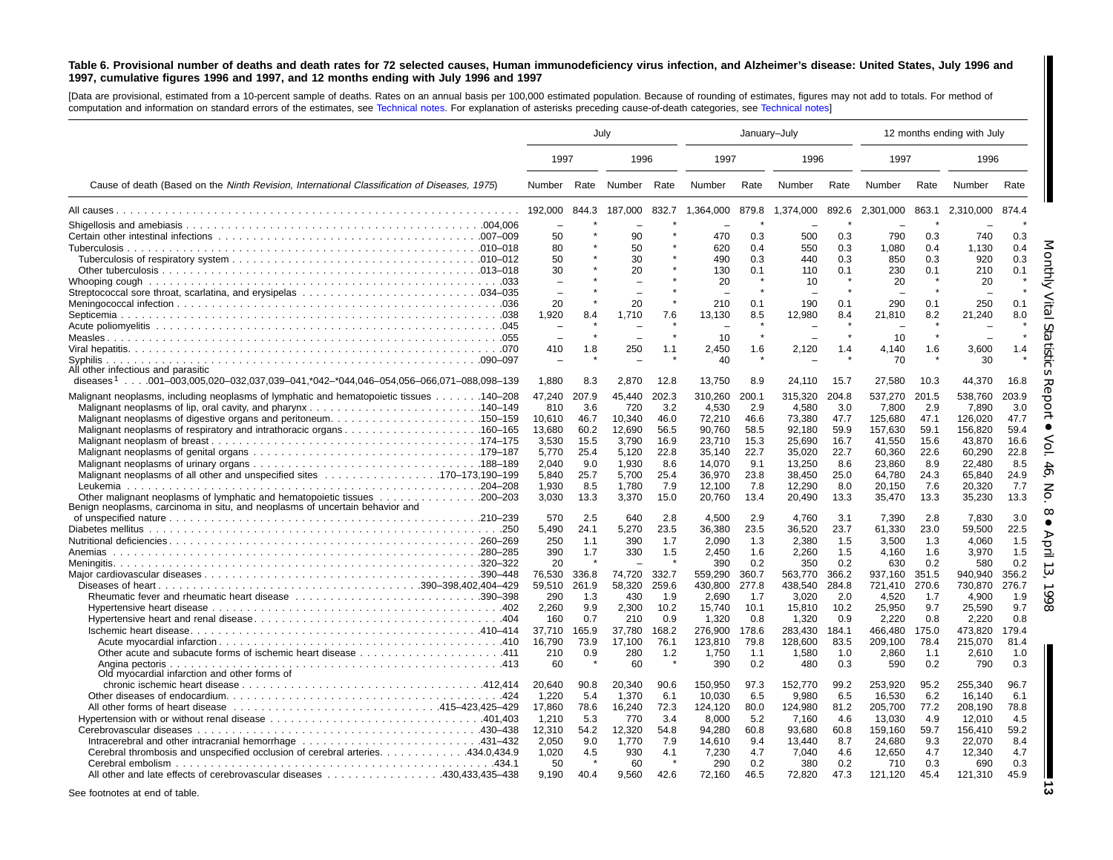#### <span id="page-12-0"></span>Table 6. Provisional number of deaths and death rates for 72 selected causes, Human immunodeficiency virus infection, and Alzheimer's disease: United States, July 1996 and 1997, cumulative figures 1996 and 1997, and 12 months ending with July 1996 and 1997

[Data are provisional, estimated from <sup>a</sup> 10-percent sample of deaths. Rates on an annual basis per 100,000 estimated population. Because of rounding of [estimates,](#page-16-0) figures may not add to totals. For method of computation and information on standard errors of the estimates, see [Technical](#page-16-0) notes. For explanation of asterisks preceding cause-of-death categories, see Technical notes]

|                                                                                                                                                          | July          |       |               |           | January-July |             |              |             |                  |             | 12 months ending with July |             |
|----------------------------------------------------------------------------------------------------------------------------------------------------------|---------------|-------|---------------|-----------|--------------|-------------|--------------|-------------|------------------|-------------|----------------------------|-------------|
|                                                                                                                                                          | 1997          |       | 1996          |           | 1997         |             | 1996         |             | 1997             |             | 1996                       |             |
| Cause of death (Based on the Ninth Revision, International Classification of Diseases, 1975)                                                             | Number        | Rate  | Number        | Rate      | Number       | Rate        | Number       | Rate        | Number           | Rate        | Number                     | Rate        |
|                                                                                                                                                          | 192,000       | 844.3 | 187,000       | 832.7     | 1.364.000    | 879.8       | 1,374,000    | 892.6       | 2.301.000        | 863.1       | 2.310.000                  | 874.4       |
|                                                                                                                                                          |               |       |               |           |              |             |              |             |                  |             |                            |             |
|                                                                                                                                                          | 50            |       | 90            |           | 470          | 0.3         | 500          | 0.3         | 790              | 0.3         | 740                        | 0.3         |
|                                                                                                                                                          | 80            |       | 50            |           | 620          | 0.4         | 550          | 0.3         | 1.080            | 0.4         | 1.130                      | 0.4         |
|                                                                                                                                                          | 50            |       | 30            |           | 490          | 0.3         | 440          | 0.3         | 850              | 0.3         | 920                        | 0.3         |
|                                                                                                                                                          | 30            |       | 20            |           | 130          | 0.1         | 110          | 0.1         | 230              | 0.1         | 210                        | 0.1         |
|                                                                                                                                                          |               |       |               |           | 20           | $\star$     | 10           |             | 20               |             | 20                         |             |
|                                                                                                                                                          | 20            |       | 20            |           | 210          | 0.1         | 190          | 0.1         | 290              | 0.1         | 250                        | 0.1         |
|                                                                                                                                                          | 1.920         | 8.4   | 1.710         | 7.6       | 13,130       | 8.5         | 12,980       | 8.4         | 21.810           | 8.2         | 21,240                     | 8.0         |
|                                                                                                                                                          |               |       |               |           |              |             |              |             |                  |             |                            |             |
|                                                                                                                                                          |               |       |               | $\lambda$ | 10           | $\star$     |              |             | 10               | $\star$     |                            |             |
|                                                                                                                                                          | 410           | 1.8   | 250           | 1.1       | 2,450        | 1.6         | 2,120        | 1.4         | 4,140            | 1.6         | 3,600                      | 1.4         |
|                                                                                                                                                          |               |       |               |           | 40           |             |              |             | 70               |             | 30                         |             |
| All other infectious and parasitic                                                                                                                       |               |       |               |           |              |             |              |             |                  |             |                            |             |
| diseases <sup>1</sup> 001–003,005,020–032,037,039–041,*042–*044,046–054,056–066,071–088,098–139                                                          | 1,880         | 8.3   | 2,870         | 12.8      | 13,750       | 8.9         | 24,110       | 15.7        | 27,580           | 10.3        | 44,370                     | 16.8        |
| 140–208. 140–208 Malignant neoplasms of lymphatic and hematopoietic tissues 140–208                                                                      | 47,240        | 207.9 | 45,440        | 202.3     | 310,260      | 200.1       | 315,320      | 204.8       | 537,270          | 201.5       | 538,760                    | 203.9       |
|                                                                                                                                                          | 810           | 3.6   | 720           | 3.2       | 4,530        | 2.9         | 4,580        | 3.0         | 7,800            | 2.9         | 7,890                      | 3.0         |
|                                                                                                                                                          | 10,610        | 46.7  | 10,340        | 46.0      | 72,210       | 46.6        | 73,380       | 47.7        | 125,680          | 47.1        | 126,020                    | 47.7        |
| Malignant neoplasms of respiratory and intrathoracic organs160–165                                                                                       | 13,680        | 60.2  | 12,690        | 56.5      | 90.760       | 58.5        | 92.180       | 59.9        | 157,630          | 59.1        | 156,820                    | 59.4        |
|                                                                                                                                                          | 3.530         | 15.5  | 3.790         | 16.9      | 23.710       | 15.3        | 25.690       | 16.7        | 41.550           | 15.6        | 43.870                     | 16.6        |
|                                                                                                                                                          | 5,770         | 25.4  | 5,120         | 22.8      | 35,140       | 22.7        | 35,020       | 22.7        | 60,360           | 22.6        | 60,290                     | 22.8        |
|                                                                                                                                                          | 2,040         | 9.0   | 1,930         | 8.6       | 14,070       | 9.1         | 13,250       | 8.6         | 23,860           | 8.9         | 22,480                     | 8.5         |
|                                                                                                                                                          | 5,840         | 25.7  | 5,700         | 25.4      | 36,970       | 23.8        | 38,450       | 25.0        | 64,780           | 24.3        | 65,840                     | 24.9        |
|                                                                                                                                                          | 1.930         | 8.5   | 1.780         | 7.9       | 12.100       | 7.8         | 12.290       | 8.0         | 20.150           | 7.6         | 20.320                     | 7.7         |
| Other malignant neoplasms of lymphatic and hematopoietic tissues 200-203<br>Benign neoplasms, carcinoma in situ, and neoplasms of uncertain behavior and | 3.030         | 13.3  | 3,370         | 15.0      | 20.760       | 13.4        | 20.490       | 13.3        | 35.470           | 13.3        | 35,230                     | 13.3        |
|                                                                                                                                                          | 570           | 2.5   | 640           | 2.8       | 4,500        | 2.9         | 4,760        | 3.1         | 7,390            | 2.8         | 7,830                      | 3.0         |
|                                                                                                                                                          | 5,490         | 24.1  | 5,270         | 23.5      | 36,380       | 23.5        | 36,520       | 23.7        | 61,330           | 23.0        | 59,500                     | 22.5        |
|                                                                                                                                                          | 250           | 1.1   | 390           | 1.7       | 2,090        | 1.3         | 2,380        | 1.5         | 3,500            | 1.3         | 4,060                      | 1.5         |
| Anemias                                                                                                                                                  | 390           | 1.7   | 330           | 1.5       | 2,450        | 1.6         | 2,260        | 1.5         | 4,160            | 1.6         | 3,970                      | 1.5         |
|                                                                                                                                                          | 20            |       |               |           | 390          | 0.2         | 350          | 0.2         | 630              | 0.2         | 580                        | 0.2         |
|                                                                                                                                                          | 76,530        | 336.8 | 74,720        | 332.7     | 559,290      | 360.7       | 563,770      | 366.2       | 937,160          | 351.5       | 940,940                    | 356.2       |
|                                                                                                                                                          | 59,510        | 261.9 | 58,320        | 259.6     | 430,800      | 277.8       | 438,540      | 284.8       | 721,410          | 270.6       | 730,870                    | 276.7       |
|                                                                                                                                                          | 290           | 1.3   | 430           | 1.9       | 2,690        | 1.7         | 3,020        | 2.0         | 4,520            | 1.7         | 4,900                      | 1.9         |
|                                                                                                                                                          | 2,260         | 9.9   | 2,300         | 10.2      | 15,740       | 10.1        | 15,810       | 10.2        | 25,950           | 9.7         | 25,590                     | 9.7         |
|                                                                                                                                                          | 160           | 0.7   | 210           | 0.9       | 1,320        | 0.8         | 1,320        | 0.9         | 2,220            | 0.8         | 2.220                      | 0.8         |
|                                                                                                                                                          | 37,710        | 165.9 | 37,780        | 168.2     | 276,900      | 178.6       | 283,430      | 184.1       | 466,480          | 175.0       | 473,820                    | 179.4       |
|                                                                                                                                                          | 16,790<br>210 | 73.9  | 17.100<br>280 | 76.1      | 123,810      | 79.8<br>1.1 | 128.600      | 83.5<br>1.0 | 209,100<br>2,860 | 78.4<br>1.1 | 215,070                    | 81.4<br>1.0 |
|                                                                                                                                                          | 60            | 0.9   | 60            | 1.2       | 1,750<br>390 | 0.2         | 1,580<br>480 | 0.3         | 590              | 0.2         | 2,610<br>790               | 0.3         |
| Old myocardial infarction and other forms of                                                                                                             |               |       |               |           |              |             |              |             |                  |             |                            |             |
|                                                                                                                                                          | 20.640        | 90.8  | 20,340        | 90.6      | 150.950      | 97.3        | 152,770      | 99.2        | 253.920          | 95.2        | 255.340                    | 96.7        |
|                                                                                                                                                          | 1,220         | 5.4   | 1,370         | 6.1       | 10,030       | 6.5         | 9,980        | 6.5         | 16,530           | 6.2         | 16,140                     | 6.1         |
|                                                                                                                                                          | 17,860        | 78.6  | 16,240        | 72.3      | 124.120      | 80.0        | 124.980      | 81.2        | 205,700          | 77.2        | 208.190                    | 78.8        |
|                                                                                                                                                          | 1,210         | 5.3   | 770           | 3.4       | 8,000        | 5.2         | 7,160        | 4.6         | 13,030           | 4.9         | 12,010                     | 4.5         |
|                                                                                                                                                          | 12,310        | 54.2  | 12,320        | 54.8      | 94,280       | 60.8        | 93,680       | 60.8        | 159,160          | 59.7        | 156,410                    | 59.2        |
|                                                                                                                                                          | 2,050         | 9.0   | 1,770         | 7.9       | 14,610       | 9.4         | 13,440       | 8.7         | 24,680           | 9.3         | 22,070                     | 8.4         |
| Cerebral thrombosis and unspecified occlusion of cerebral arteries. 434.0,434.9                                                                          | 1,020         | 4.5   | 930           | 4.1       | 7,230        | 4.7         | 7,040        | 4.6         | 12,650           | 4.7         | 12,340                     | 4.7         |
|                                                                                                                                                          | 50            |       | 60            |           | 290          | 0.2         | 380          | 0.2         | 710              | 0.3         | 690                        | 0.3         |
| All other and late effects of cerebrovascular diseases 430,433,435–438                                                                                   | 9.190         | 40.4  | 9.560         | 42.6      | 72,160       | 46.5        | 72,820       | 47.3        | 121,120          | 45.4        | 121,310                    | 45.9        |
|                                                                                                                                                          |               |       |               |           |              |             |              |             |                  |             |                            |             |

See footnotes at end of table.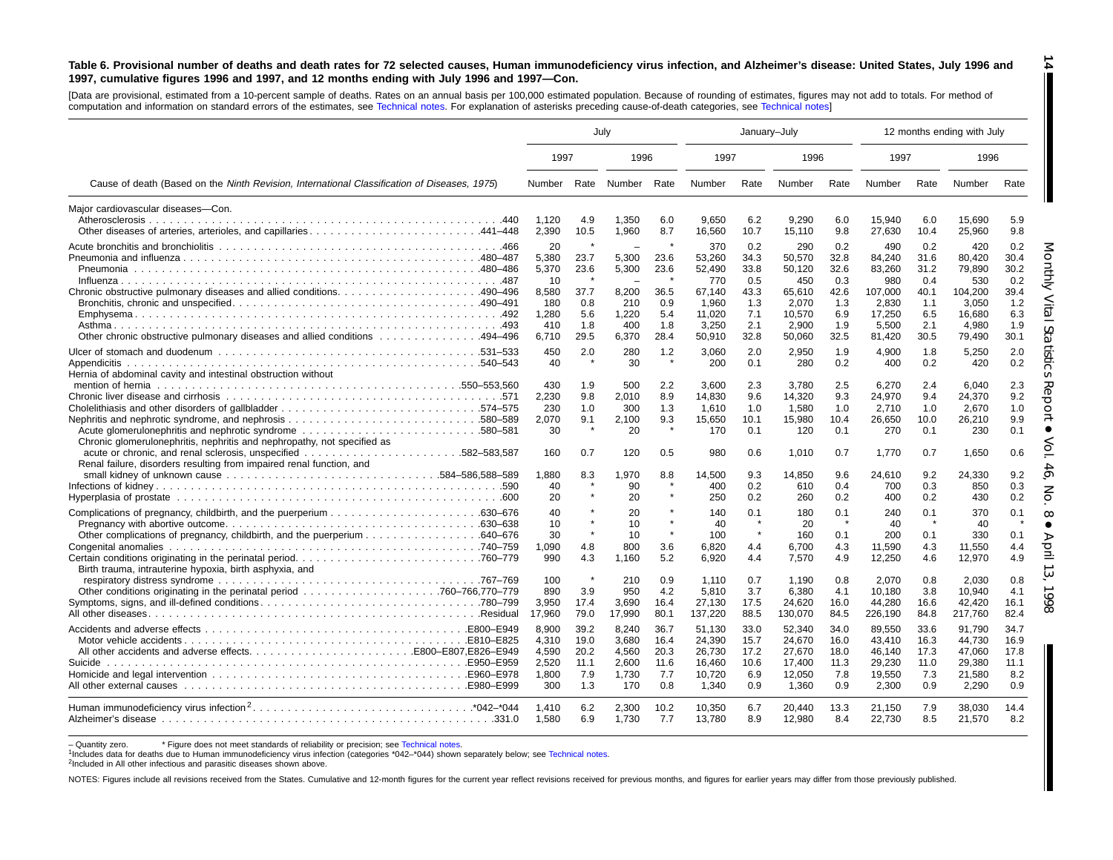#### Table 6. Provisional number of deaths and death rates for 72 selected causes, Human immunodeficiency virus infection, and Alzheimer's disease: United States, July 1996 and 1997, cumulative figures 1996 and 1997, and 12 months ending with July 1996 and 1997-Con.

[Data are provisional, estimated from <sup>a</sup> 10-percent sample of deaths. Rates on an annual basis per 100,000 estimated population. Because of rounding of [estimates,](#page-16-0) figures may not add to totals. For method of computation and information on standard errors of the estimates, see [Technical](#page-16-0) notes. For explanation of asterisks preceding cause-of-death categories, see Technical notes]

|                                                                                                                                                                                                      | July                                                                 |                                                   |                                                         |                                                   |                                                                                | January-July                                                    |                                                                                |                                                                 |                                                                                 |                                                                 | 12 months ending with July                                                      |                                                                 |
|------------------------------------------------------------------------------------------------------------------------------------------------------------------------------------------------------|----------------------------------------------------------------------|---------------------------------------------------|---------------------------------------------------------|---------------------------------------------------|--------------------------------------------------------------------------------|-----------------------------------------------------------------|--------------------------------------------------------------------------------|-----------------------------------------------------------------|---------------------------------------------------------------------------------|-----------------------------------------------------------------|---------------------------------------------------------------------------------|-----------------------------------------------------------------|
|                                                                                                                                                                                                      | 1997                                                                 |                                                   | 1996                                                    |                                                   | 1997                                                                           |                                                                 | 1996                                                                           |                                                                 | 1997                                                                            |                                                                 | 1996                                                                            |                                                                 |
| Cause of death (Based on the Ninth Revision, International Classification of Diseases, 1975)                                                                                                         | Number                                                               |                                                   | Rate Number                                             | Rate                                              | Number                                                                         | Rate                                                            | Number                                                                         | Rate                                                            | Number                                                                          | Rate                                                            | Number                                                                          | Rate                                                            |
| Maior cardiovascular diseases-Con.<br>Other diseases of arteries, arterioles, and capillaries441–448                                                                                                 | 1,120<br>2,390                                                       | 4.9<br>10.5                                       | 1,350<br>1,960                                          | 6.0<br>8.7                                        | 9,650<br>16,560                                                                | 6.2<br>10.7                                                     | 9,290<br>15,110                                                                | 6.0<br>9.8                                                      | 15,940<br>27,630                                                                | 6.0<br>10.4                                                     | 15,690<br>25,960                                                                | 5.9<br>9.8                                                      |
| Chronic obstructive pulmonary diseases and allied conditions490–496<br>0ther chronic obstructive pulmonary diseases and allied conditions 494–496                                                    | 20<br>5,380<br>5,370<br>-10<br>8,580<br>180<br>1,280<br>410<br>6,710 | 23.7<br>23.6<br>37.7<br>0.8<br>5.6<br>1.8<br>29.5 | 5,300<br>5,300<br>8,200<br>210<br>1,220<br>400<br>6,370 | 23.6<br>23.6<br>36.5<br>0.9<br>5.4<br>1.8<br>28.4 | 370<br>53,260<br>52,490<br>770<br>67.140<br>1,960<br>11.020<br>3.250<br>50,910 | 0.2<br>34.3<br>33.8<br>0.5<br>43.3<br>1.3<br>7.1<br>2.1<br>32.8 | 290<br>50,570<br>50,120<br>450<br>65,610<br>2,070<br>10,570<br>2,900<br>50,060 | 0.2<br>32.8<br>32.6<br>0.3<br>42.6<br>1.3<br>6.9<br>1.9<br>32.5 | 490<br>84,240<br>83,260<br>980<br>107,000<br>2,830<br>17.250<br>5,500<br>81,420 | 0.2<br>31.6<br>31.2<br>0.4<br>40.1<br>1.1<br>6.5<br>2.1<br>30.5 | 420<br>80,420<br>79,890<br>530<br>104,200<br>3.050<br>16.680<br>4.980<br>79,490 | 0.2<br>30.4<br>30.2<br>0.2<br>39.4<br>1.2<br>6.3<br>1.9<br>30.1 |
| Hernia of abdominal cavity and intestinal obstruction without<br>Cholelithiasis and other disorders of gallbladder574-575<br>Chronic glomerulonephritis, nephritis and nephropathy, not specified as | 450<br>40<br>430<br>2,230<br>230<br>2,070<br>30                      | 2.0<br>1.9<br>9.8<br>1.0<br>9.1<br>$\star$        | 280<br>30<br>500<br>2,010<br>300<br>2.100<br>20         | 1.2<br>$\star$<br>2.2<br>8.9<br>1.3<br>9.3        | 3,060<br>200<br>3.600<br>14,830<br>1.610<br>15,650<br>170                      | 2.0<br>0.1<br>2.3<br>9.6<br>1.0<br>10.1<br>0.1                  | 2,950<br>280<br>3.780<br>14,320<br>1,580<br>15,980<br>120                      | 1.9<br>0.2<br>2.5<br>9.3<br>1.0<br>10.4<br>0.1                  | 4,900<br>400<br>6,270<br>24,970<br>2,710<br>26,650<br>270                       | 1.8<br>0.2<br>2.4<br>9.4<br>1.0<br>10.0<br>0.1                  | 5,250<br>420<br>6.040<br>24,370<br>2.670<br>26,210<br>230                       | 2.0<br>0.2<br>2.3<br>9.2<br>1.0<br>9.9<br>0.1                   |
| .582–583.587<br>Renal failure, disorders resulting from impaired renal function, and                                                                                                                 | 160<br>1,880<br>40<br>20                                             | 0.7<br>8.3                                        | 120<br>1,970<br>90<br>20                                | 0.5<br>8.8                                        | 980<br>14,500<br>400<br>250                                                    | 0.6<br>9.3<br>0.2<br>0.2                                        | 1.010<br>14,850<br>610<br>260                                                  | 0.7<br>9.6<br>0.4<br>0.2                                        | 1.770<br>24,610<br>700<br>400                                                   | 0.7<br>9.2<br>0.3<br>0.2                                        | 1,650<br>24,330<br>850<br>430                                                   | 0.6<br>9.2<br>0.3<br>0.2                                        |
| Birth trauma, intrauterine hypoxia, birth asphyxia, and                                                                                                                                              | 40<br>10<br>30<br>1,090<br>990                                       | 4.8<br>4.3                                        | 20<br>10<br>10<br>800<br>1.160                          | 3.6<br>5.2                                        | 140<br>40<br>100<br>6,820<br>6,920                                             | 0.1<br>$\star$<br>$\pmb{\ast}$<br>4.4<br>4.4                    | 180<br>20<br>160<br>6,700<br>7.570                                             | 0.1<br>$\star$<br>0.1<br>4.3<br>4.9                             | 240<br>40<br>200<br>11,590<br>12,250                                            | 0.1<br>$\star$<br>0.1<br>4.3<br>4.6                             | 370<br>40<br>330<br>11,550<br>12,970                                            | 0.1<br>0.1<br>4.4<br>4.9                                        |
|                                                                                                                                                                                                      | 100<br>890<br>3,950<br>17,960                                        | 3.9<br>17.4<br>79.0                               | 210<br>950<br>3,690<br>17,990                           | 0.9<br>4.2<br>16.4<br>80.1                        | 1.110<br>5,810<br>27,130<br>137,220                                            | 0.7<br>3.7<br>17.5<br>88.5                                      | 1,190<br>6,380<br>24,620<br>130,070                                            | 0.8<br>4.1<br>16.0<br>84.5                                      | 2,070<br>10,180<br>44,280<br>226,190                                            | 0.8<br>3.8<br>16.6<br>84.8                                      | 2.030<br>10,940<br>42,420<br>217,760                                            | 0.8<br>4.1<br>16.1<br>82.4                                      |
| Suicide                                                                                                                                                                                              | 8,900<br>4.310<br>4,590<br>2,520<br>1.800<br>300                     | 39.2<br>19.0<br>20.2<br>11.1<br>7.9<br>1.3        | 8,240<br>3.680<br>4,560<br>2,600<br>1,730<br>170        | 36.7<br>16.4<br>20.3<br>11.6<br>7.7<br>0.8        | 51,130<br>24.390<br>26,730<br>16.460<br>10.720<br>1,340                        | 33.0<br>15.7<br>17.2<br>10.6<br>6.9<br>0.9                      | 52,340<br>24.670<br>27,670<br>17,400<br>12,050<br>1,360                        | 34.0<br>16.0<br>18.0<br>11.3<br>7.8<br>0.9                      | 89,550<br>43.410<br>46,140<br>29,230<br>19,550<br>2,300                         | 33.6<br>16.3<br>17.3<br>11.0<br>7.3<br>0.9                      | 91,790<br>44.730<br>47,060<br>29,380<br>21,580<br>2,290                         | 34.7<br>16.9<br>17.8<br>11.1<br>8.2<br>0.9                      |
|                                                                                                                                                                                                      | 1,410<br>1.580                                                       | 6.2<br>6.9                                        | 2,300<br>1,730                                          | 10.2<br>7.7                                       | 10,350<br>13,780                                                               | 6.7<br>8.9                                                      | 20,440<br>12,980                                                               | 13.3<br>8.4                                                     | 21,150<br>22,730                                                                | 7.9<br>8.5                                                      | 38,030<br>21,570                                                                | 14.4<br>8.2                                                     |

- Quantity zero. \* Figure does not meet standards of reliability or precision; see [Technical](#page-16-0) notes.

<sup>1</sup>Includes data for deaths due to Human immunodeficiency virus infection (categories \*042–\*044) shown separately below; see [Technical](#page-16-0) notes.

2Included in All other infectious and parasitic diseases shown above.

NOTES: Figures include all revisions received from the States. Cumulative and 12-month figures for the current year reflect revisions received for previous months, and figures for earlier years may differ from those previo

**14** H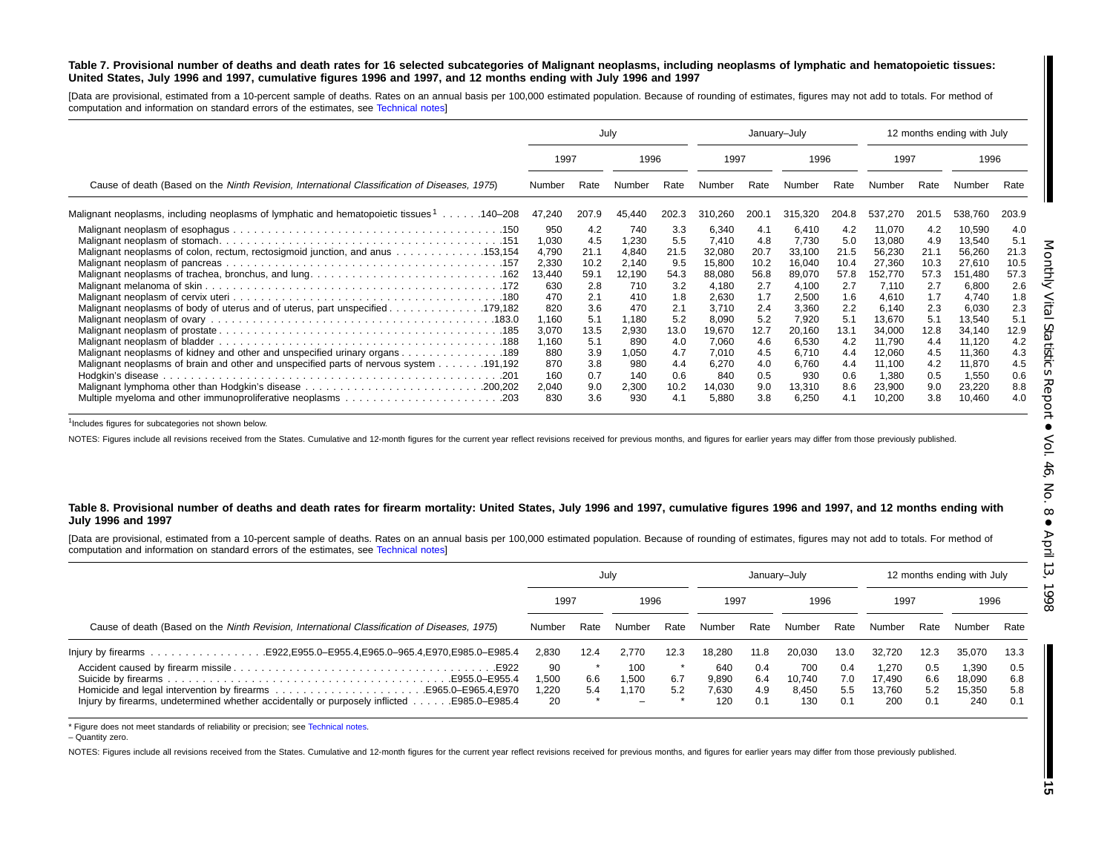#### Table 7. Provisional number of deaths and death rates for 16 selected subcategories of Malignant neoplasms, including neoplasms of lymphatic and hematopoietic tissues: United States, July 1996 and 1997, cumulative figures 1996 and 1997, and 12 months ending with July 1996 and 1997

[Data are provisional, estimated from <sup>a</sup> 10-percent sample of deaths. Rates on an annual basis per 100,000 estimated population. Because of rounding of estimates, figures may not add to totals. For method of computation and information on standard errors of the estimates, see [Technical](#page-16-0) notes]

|                                                                                               |        | July  |        |       | January-July |       |         |       |         |             | 12 months ending with July |       |
|-----------------------------------------------------------------------------------------------|--------|-------|--------|-------|--------------|-------|---------|-------|---------|-------------|----------------------------|-------|
|                                                                                               | 1997   |       | 1996   |       | 1997         |       | 1996    |       | 1997    |             | 1996                       |       |
| Cause of death (Based on the Ninth Revision, International Classification of Diseases, 1975)  | Number | Rate  | Number | Rate  | Number       | Rate  | Numbei  | Rate  | Number  | Rate        | Number                     | Rate  |
| Malignant neoplasms, including neoplasms of lymphatic and hematopoietic tissues 1<br>.140–208 | 47,240 | 207.9 | 45,440 | 202.3 | 310,260      | 200.1 | 315,320 | 204.8 | 537,270 | 201<br>l .5 | 538,760                    | 203.9 |
|                                                                                               | 950    | 4.2   | 740    | 3.3   | 6,340        | 4.1   | 6.410   | 4.2   | 11,070  | 4.2         | 10,590                     | 4.0   |
|                                                                                               | 1,030  | 4.5   | 1,230  | 5.5   | 7,410        | 4.8   | 7,730   | 5.0   | 13,080  | 4.9         | 13,540                     | 5.1   |
| Malignant neoplasms of colon, rectum, rectosigmoid junction, and anus 153,154                 | 4,790  | 21.1  | 4,840  | 21.5  | 32,080       | 20.7  | 33,100  | 21.5  | 56,230  | 21.1        | 56,260                     | 21.3  |
|                                                                                               | 2,330  | 10.2  | 2,140  | 9.5   | 15,800       | 10.2  | 16,040  | 10.4  | 27,360  | 10.3        | 27,610                     | 10.5  |
|                                                                                               | 13,440 | 59.1  | 12,190 | 54.3  | 88,080       | 56.8  | 89,070  | 57.8  | 152,770 | 57.3        | 151,480                    | 57.3  |
|                                                                                               | 630    | 2.8   | 710    | 3.2   | 4,180        | 2.7   | 4,100   | 2.7   | 7,110   | 2.7         | 6,800                      | 2.6   |
|                                                                                               | 470    | 2.1   | 410    | 1.8   | 2,630        | 1.7   | 2,500   | 1.6   | 4.610   | 1.7         | 4.740                      | 1.8   |
|                                                                                               | 820    | 3.6   | 470    | 2.1   | 3,710        | 2.4   | 3,360   | 2.2   | 6,140   | 2.3         | 6,030                      | 2.3   |
|                                                                                               | 1,160  | 5.1   | 1,180  | 5.2   | 8,090        | 5.2   | 7.920   | 5.1   | 13,670  | 5.1         | 13,540                     | 5.1   |
|                                                                                               | 3,070  | 13.5  | 2,930  | 13.0  | 19,670       | 12.7  | 20,160  | 13.1  | 34,000  | 12.8        | 34,140                     | 12.9  |
|                                                                                               | 1,160  | 5.1   | 890    | 4.0   | 7,060        | 4.6   | 6,530   | 4.2   | 11,790  | 4.4         | 11,120                     | 4.2   |
| Malignant neoplasms of kidney and other and unspecified urinary organs 189                    | 880    | 3.9   | 1,050  | 4.7   | 7,010        | 4.5   | 6,710   | 4.4   | 12,060  | 4.5         | 11,360                     | 4.3   |
|                                                                                               | 870    | 3.8   | 980    | 4.4   | 6,270        | 4.0   | 6,760   | 4.4   | 11,100  | 4.2         | 11,870                     | 4.5   |
|                                                                                               | 160    | 0.7   | 140    | 0.6   | 840          | 0.5   | 930     | 0.6   | 1,380   | 0.5         | 1,550                      | 0.6   |
|                                                                                               | 2,040  | 9.0   | 2,300  | 10.2  | 14,030       | 9.0   | 13,310  | 8.6   | 23,900  | 9.0         | 23,220                     | 8.8   |
| Multiple myeloma and other immunoproliferative neoplasms 203                                  | 830    | 3.6   | 930    | 4.1   | 5,880        | 3.8   | 6,250   | 4.1   | 10,200  | 3.8         | 10,460                     | 4.0   |

<sup>1</sup>Includes figures for subcategories not shown below.

NOTES: Figures include all revisions received from the States. Cumulative and 12-month figures for the current year reflect revisions received for previous months, and figures for earlier years may differ from those previo

#### Table 8. Provisional number of deaths and death rates for firearm mortality: United States, July 1996 and 1997, cumulative figures 1996 and 1997, and 12 months ending with **July 1996 and 1997**

[Data are provisional, estimated from <sup>a</sup> 10-percent sample of deaths. Rates on an annual basis per 100,000 estimated population. Because of rounding of estimates, figures may not add to totals. For method of computation and information on standard errors of the estimates, see [Technical](#page-16-0) notes]

|                                                                                                |                            |            | July                  |            |                              | January-July             |                               |                          | 12 months ending with July       |                          |                                  |                          |
|------------------------------------------------------------------------------------------------|----------------------------|------------|-----------------------|------------|------------------------------|--------------------------|-------------------------------|--------------------------|----------------------------------|--------------------------|----------------------------------|--------------------------|
|                                                                                                | 1997                       |            | 1996                  |            | 1997                         |                          | 1996                          |                          | 1997                             |                          | 1996                             |                          |
| Cause of death (Based on the Ninth Revision, International Classification of Diseases, 1975)   | Number                     | Rate       | Number                | Rate       | Number                       | Rate                     | Number                        | Rate                     | Number                           | Rate                     | Number                           | Rate                     |
|                                                                                                | 2.830                      | 12.4       | 2.770                 | 12.3       | 18.280                       | 11.8                     | 20.030                        | 13.0                     | 32.720                           | 12.3                     | 35,070                           | 13.3                     |
| Injury by firearms, undetermined whether accidentally or purposely inflicted<br>E985.0–E985.4. | 90<br>1.500<br>1.220<br>20 | 6.6<br>5.4 | 100<br>1.500<br>l.170 | 6.7<br>5.2 | 640<br>9.890<br>7.630<br>120 | 0.4<br>6.4<br>4.9<br>0.1 | 700<br>10.740<br>8,450<br>130 | 0.4<br>7.0<br>5.5<br>0.1 | 1.270<br>17.490<br>13.760<br>200 | 0.5<br>6.6<br>5.2<br>0.1 | 1.390<br>18,090<br>15,350<br>240 | 0.5<br>6.8<br>5.8<br>0.1 |

\* Figure does not meet standards of reliability or precision; see [Technical](#page-16-0) notes.

– Quantity zero.

NOTES: Figures include all revisions received from the States. Cumulative and 12-month figures for the current year reflect revisions received for previous months, and figures for earlier years may differ from those previo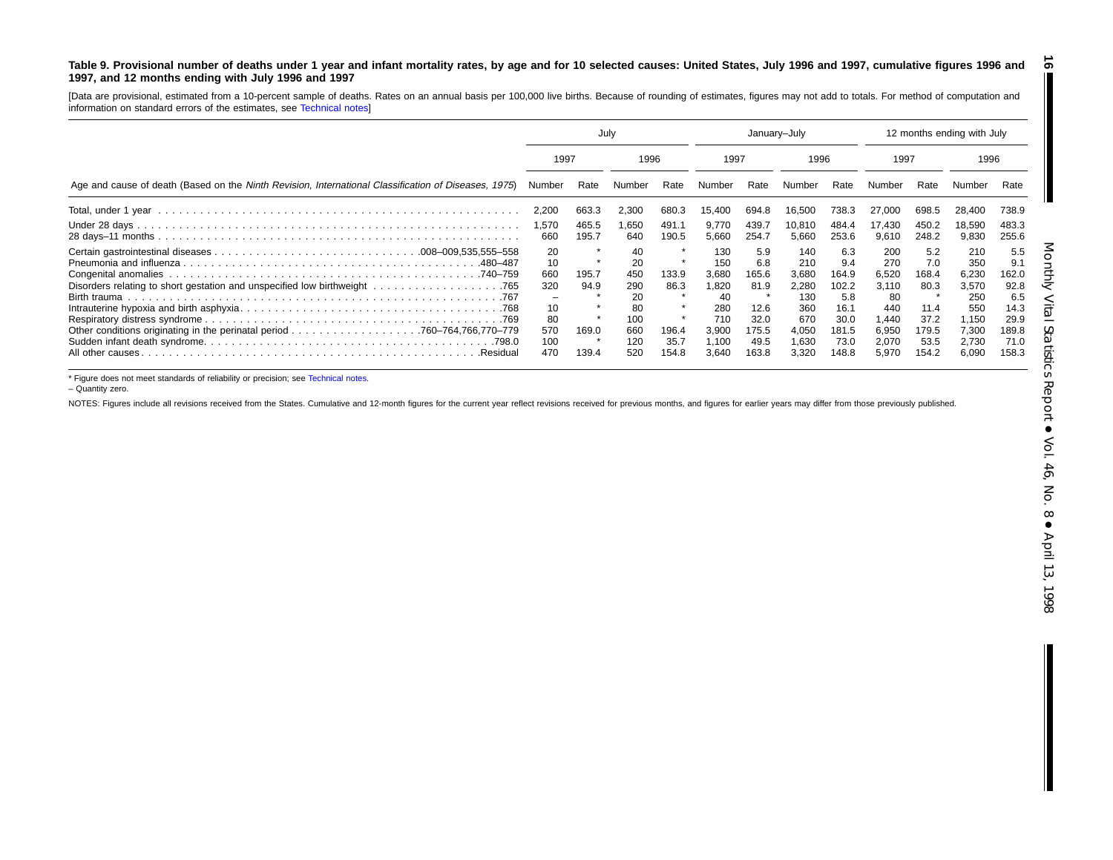#### <span id="page-15-0"></span>Table 9. Provisional number of deaths under 1 year and infant mortality rates, by age and for 10 selected causes: United States, July 1996 and 1997, cumulative figures 1996 and **1997, and 12 months ending with July 1996 and 1997**

[Data are provisional, estimated from a 10-percent sample of deaths. Rates on an annual basis per 100,000 live births. Because of rounding of estimates, figures may not add to totals. For method of computation and information on standard errors of the estimates, see [Technical](#page-16-0) notes]

|                                                                                                      | July                                                    |                                 |                                                                |                                         | January-July                                                                |                                                                       |                                                                              |                                                                               | 12 months ending with July                                                     |                                                                       |                                                                                |                                                                              |
|------------------------------------------------------------------------------------------------------|---------------------------------------------------------|---------------------------------|----------------------------------------------------------------|-----------------------------------------|-----------------------------------------------------------------------------|-----------------------------------------------------------------------|------------------------------------------------------------------------------|-------------------------------------------------------------------------------|--------------------------------------------------------------------------------|-----------------------------------------------------------------------|--------------------------------------------------------------------------------|------------------------------------------------------------------------------|
|                                                                                                      | 1997                                                    |                                 | 1996                                                           |                                         | 1997                                                                        |                                                                       | 1996                                                                         |                                                                               | 1997                                                                           |                                                                       | 1996                                                                           |                                                                              |
| Age and cause of death (Based on the Ninth Revision, International Classification of Diseases, 1975) | Number                                                  | Rate                            | Number                                                         | Rate                                    | Number                                                                      | Rate                                                                  | Number                                                                       | Rate                                                                          | Number                                                                         | Rate                                                                  | Number                                                                         | Rate                                                                         |
|                                                                                                      | 2,200                                                   | 663.3                           | 2.300                                                          | 680.3                                   | 15.400                                                                      | 694.8                                                                 | 16,500                                                                       | 738.3                                                                         | 27,000                                                                         | 698.5                                                                 | 28,400                                                                         | 738.9                                                                        |
|                                                                                                      | 1,570<br>660                                            | 465.5<br>195.7                  | 1,650<br>640                                                   | 491.1<br>190.5                          | 9.770<br>5,660                                                              | 439.7<br>254.7                                                        | 10,810<br>5,660                                                              | 484.4<br>253.6                                                                | 17.430<br>9,610                                                                | 450.2<br>248.2                                                        | 18,590<br>9,830                                                                | 483.3<br>255.6                                                               |
| .480–487<br>.Residual                                                                                | 20<br>10<br>660<br>320<br>10<br>80<br>570<br>100<br>470 | 195.7<br>94.9<br>169.0<br>139.4 | 40<br>20<br>450<br>290<br>20<br>80<br>100<br>660<br>120<br>520 | 133.9<br>86.3<br>196.4<br>35.7<br>154.8 | 130<br>150<br>3,680<br>1,820<br>40<br>280<br>710<br>3,900<br>1,100<br>3,640 | 5.9<br>6.8<br>165.6<br>81.9<br>12.6<br>32.0<br>175.5<br>49.5<br>163.8 | 140<br>210<br>3,680<br>2,280<br>130<br>360<br>670<br>4,050<br>1,630<br>3,320 | 6.3<br>9.4<br>164.9<br>102.2<br>5.8<br>16.1<br>30.0<br>181.5<br>73.0<br>148.8 | 200<br>270<br>6,520<br>3.110<br>80<br>440<br>440. ا<br>6,950<br>2,070<br>5.970 | 5.2<br>7.0<br>168.4<br>80.3<br>11.4<br>37.2<br>179.5<br>53.5<br>154.2 | 210<br>350<br>6,230<br>3,570<br>250<br>550<br>1,150<br>7,300<br>2,730<br>6,090 | 5.5<br>9.1<br>162.0<br>92.8<br>6.5<br>14.3<br>29.9<br>189.8<br>71.0<br>158.3 |

\* Figure does not meet standards of reliability or precision; see [Technical](#page-16-0) notes.

– Quantity zero.

NOTES: Figures include all revisions received from the States. Cumulative and 12-month figures for the current year reflect revisions received for previous months, and figures for earlier years may differ from those previo

**16**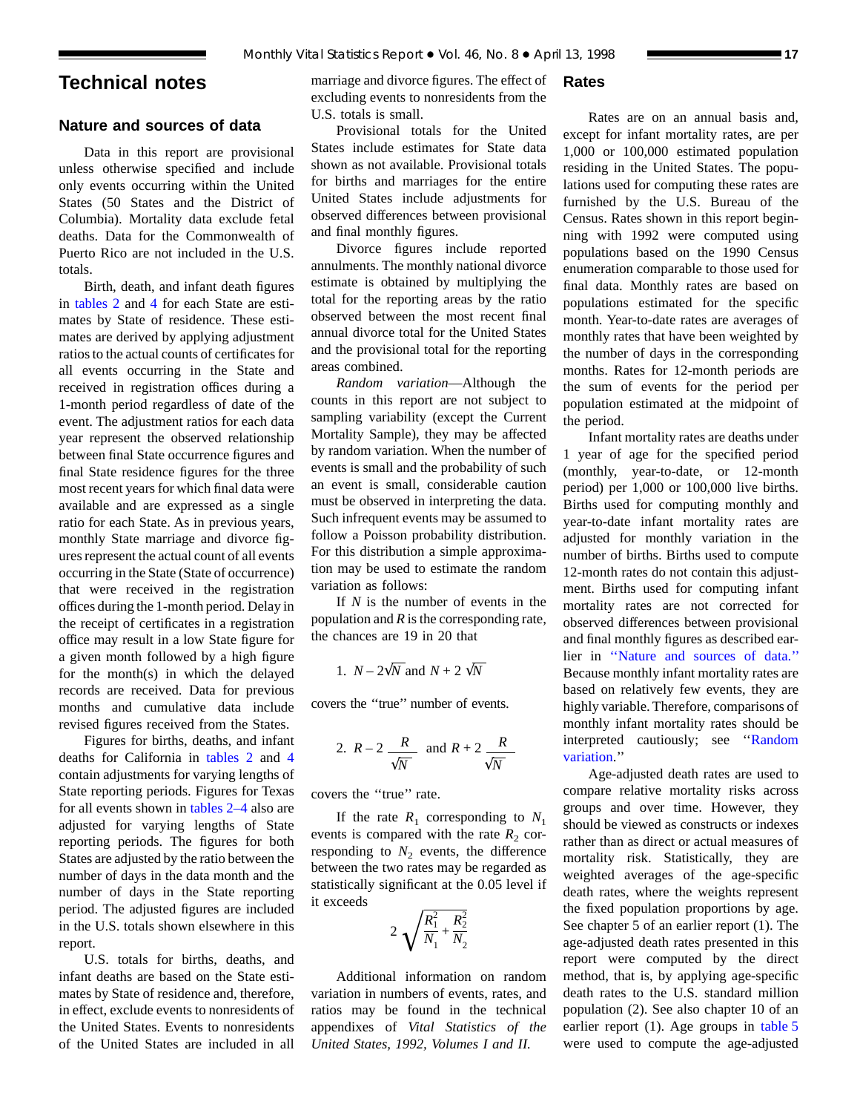## <span id="page-16-0"></span>**Technical notes**

## **Nature and sources of data**

Data in this report are provisional unless otherwise specified and include only events occurring within the United States (50 States and the District of Columbia). Mortality data exclude fetal deaths. Data for the Commonwealth of Puerto Rico are not included in the U.S. totals.

Birth, death, and infant death figures in [tables 2](#page-6-0) and [4](#page-8-0) for each State are estimates by State of residence. These estimates are derived by applying adjustment ratios to the actual counts of certificates for all events occurring in the State and received in registration offices during a 1-month period regardless of date of the event. The adjustment ratios for each data year represent the observed relationship between final State occurrence figures and final State residence figures for the three most recent years for which final data were available and are expressed as a single ratio for each State. As in previous years, monthly State marriage and divorce figures represent the actual count of all events occurring in the State (State of occurrence) that were received in the registration offices during the 1-month period. Delay in the receipt of certificates in a registration office may result in a low State figure for a given month followed by a high figure for the month(s) in which the delayed records are received. Data for previous months and cumulative data include revised figures received from the States.

Figures for births, [deaths, and i](#page-6-0)nfant deaths for California in tables 2 and [4](#page-8-0) contain adjustments for varying lengths of State reporting periods. Figures for Texas for all events shown in [tables 2–4](#page-6-0) also are adjusted for varying lengths of State reporting periods. The figures for both States are adjusted by the ratio between the number of days in the data month and the number of days in the State reporting period. The adjusted figures are included in the U.S. totals shown elsewhere in this report.

U.S. totals for births, deaths, and infant deaths are based on the State estimates by State of residence and, therefore, in effect, exclude events to nonresidents of the United States. Events to nonresidents of the United States are included in all

marriage and divorce figures. The effect of excluding events to nonresidents from the U.S. totals is small.

Provisional totals for the United States include estimates for State data shown as not available. Provisional totals for births and marriages for the entire United States include adjustments for observed differences between provisional and final monthly figures.

Divorce figures include reported annulments. The monthly national divorce estimate is obtained by multiplying the total for the reporting areas by the ratio observed between the most recent final annual divorce total for the United States and the provisional total for the reporting areas combined.

*Random variation*—Although the counts in this report are not subject to sampling variability (except the Current Mortality Sample), they may be affected by random variation. When the number of events is small and the probability of such an event is small, considerable caution must be observed in interpreting the data. Such infrequent events may be assumed to follow a Poisson probability distribution. For this distribution a simple approximation may be used to estimate the random variation as follows:

If *N* is the number of events in the population and *R* is the corresponding rate, the chances are 19 in 20 that

1. 
$$
N - 2\sqrt{N}
$$
 and  $N + 2\sqrt{N}$ 

covers the ''true'' number of events.

2. 
$$
R-2
$$
  $\frac{R}{\sqrt{N}}$  and  $R+2$   $\frac{R}{\sqrt{N}}$ 

covers the ''true'' rate.

If the rate  $R_1$  corresponding to  $N_1$ events is compared with the rate  $R_2$  corresponding to  $N_2$  events, the difference between the two rates may be regarded as statistically significant at the 0.05 level if it exceeds

$$
2\sqrt{\frac{R_1^2}{N_1} + \frac{R_2^2}{N_2}}
$$

Additional information on random variation in numbers of events, rates, and ratios may be found in the technical appendixes of *Vital Statistics of the United States, 1992, Volumes I and II.*

## **Rates**

Rates are on an annual basis and, except for infant mortality rates, are per 1,000 or 100,000 estimated population residing in the United States. The populations used for computing these rates are furnished by the U.S. Bureau of the Census. Rates shown in this report beginning with 1992 were computed using populations based on the 1990 Census enumeration comparable to those used for final data. Monthly rates are based on populations estimated for the specific month. Year-to-date rates are averages of monthly rates that have been weighted by the number of days in the corresponding months. Rates for 12-month periods are the sum of events for the period per population estimated at the midpoint of the period.

Infant mortality rates are deaths under 1 year of age for the specified period (monthly, year-to-date, or 12-month period) per 1,000 or 100,000 live births. Births used for computing monthly and year-to-date infant mortality rates are adjusted for monthly variation in the number of births. Births used to compute 12-month rates do not contain this adjustment. Births used for computing infant mortality rates are not corrected for observed differences between provisional and final monthly figures as described earlier in ''Nature and sources of data.'' Because monthly infant mortality rates are based on relatively few events, they are highly variable. Therefore, comparisons of monthly infant mortality rates should be interpreted cautiously; see ''Random variation.''

Age-adjusted death rates are used to compare relative mortality risks across groups and over time. However, they should be viewed as constructs or indexes rather than as direct or actual measures of mortality risk. Statistically, they are weighted averages of the age-specific death rates, where the weights represent the fixed population proportions by age. See chapter 5 of an earlier report (1). The age-adjusted death rates presented in this report were computed by the direct method, that is, by applying age-specific death rates to the U.S. standard million population (2). See also chapter 10 of an earlier report (1). Age groups in [table 5](#page-9-0) were used to compute the age-adjusted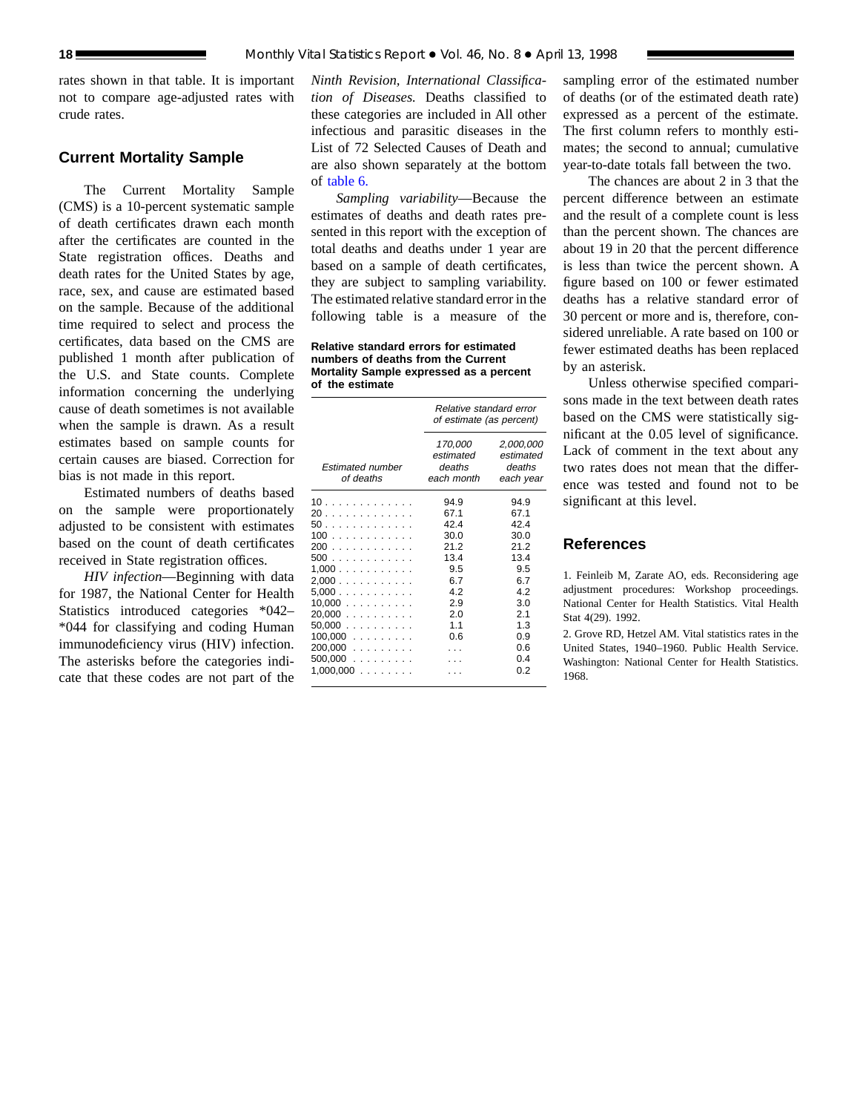rates shown in that table. It is important not to compare age-adjusted rates with crude rates.

## **Current Mortality Sample**

The Current Mortality Sample (CMS) is a 10-percent systematic sample of death certificates drawn each month after the certificates are counted in the State registration offices. Deaths and death rates for the United States by age, race, sex, and cause are estimated based on the sample. Because of the additional time required to select and process the certificates, data based on the CMS are published 1 month after publication of the U.S. and State counts. Complete information concerning the underlying cause of death sometimes is not available when the sample is drawn. As a result estimates based on sample counts for certain causes are biased. Correction for bias is not made in this report.

Estimated numbers of deaths based on the sample were proportionately adjusted to be consistent with estimates based on the count of death certificates received in State registration offices.

*HIV infection*—Beginning with data for 1987, the National Center for Health Statistics introduced categories \*042– \*044 for classifying and coding Human immunodeficiency virus (HIV) infection. The asterisks before the categories indicate that these codes are not part of the

*Ninth Revision, International Classification of Diseases.* Deaths classified to these categories are included in All other infectious and parasitic diseases in the List of 72 Selected Causes of Death and are also shown separately at the bottom of [table 6.](#page-12-0)

*Sampling variability*—Because the estimates of deaths and death rates presented in this report with the exception of total deaths and deaths under 1 year are based on a sample of death certificates, they are subject to sampling variability. The estimated relative standard error in the following table is a measure of the

**Relative standard errors for estimated numbers of deaths from the Current Mortality Sample expressed as a percent of the estimate**

|                                                                                                                          | Relative standard error<br>of estimate (as percent)                                           |                                                                                                      |  |  |  |
|--------------------------------------------------------------------------------------------------------------------------|-----------------------------------------------------------------------------------------------|------------------------------------------------------------------------------------------------------|--|--|--|
| <b>Estimated number</b><br>of deaths                                                                                     | 170,000<br>estimated<br>deaths<br>each month                                                  | 2,000,000<br>estimated<br>deaths<br>each year                                                        |  |  |  |
| 10<br>20<br>50<br>100<br>200<br>500<br>1,000<br>2,000<br>5.000<br>10,000<br>20.000<br>$50,000$<br>$100,000$<br>$200,000$ | 94.9<br>67.1<br>42.4<br>30.0<br>21.2<br>13.4<br>9.5<br>6.7<br>4.2<br>2.9<br>2.0<br>1.1<br>0.6 | 94.9<br>67.1<br>42.4<br>30.0<br>21.2<br>13.4<br>9.5<br>6.7<br>4.2<br>3.0<br>2.1<br>1.3<br>0.9<br>0.6 |  |  |  |
| 500,000<br>$1,000,000$                                                                                                   |                                                                                               | 0.4<br>0.2                                                                                           |  |  |  |

sampling error of the estimated number of deaths (or of the estimated death rate) expressed as a percent of the estimate. The first column refers to monthly estimates; the second to annual; cumulative year-to-date totals fall between the two.

The chances are about 2 in 3 that the percent difference between an estimate and the result of a complete count is less than the percent shown. The chances are about 19 in 20 that the percent difference is less than twice the percent shown. A figure based on 100 or fewer estimated deaths has a relative standard error of 30 percent or more and is, therefore, considered unreliable. A rate based on 100 or fewer estimated deaths has been replaced by an asterisk.

Unless otherwise specified comparisons made in the text between death rates based on the CMS were statistically significant at the 0.05 level of significance. Lack of comment in the text about any two rates does not mean that the difference was tested and found not to be significant at this level.

## **References**

1. Feinleib M, Zarate AO, eds. Reconsidering age adjustment procedures: Workshop proceedings. National Center for Health Statistics. Vital Health Stat 4(29). 1992.

2. Grove RD, Hetzel AM. Vital statistics rates in the United States, 1940–1960. Public Health Service. Washington: National Center for Health Statistics. 1968.